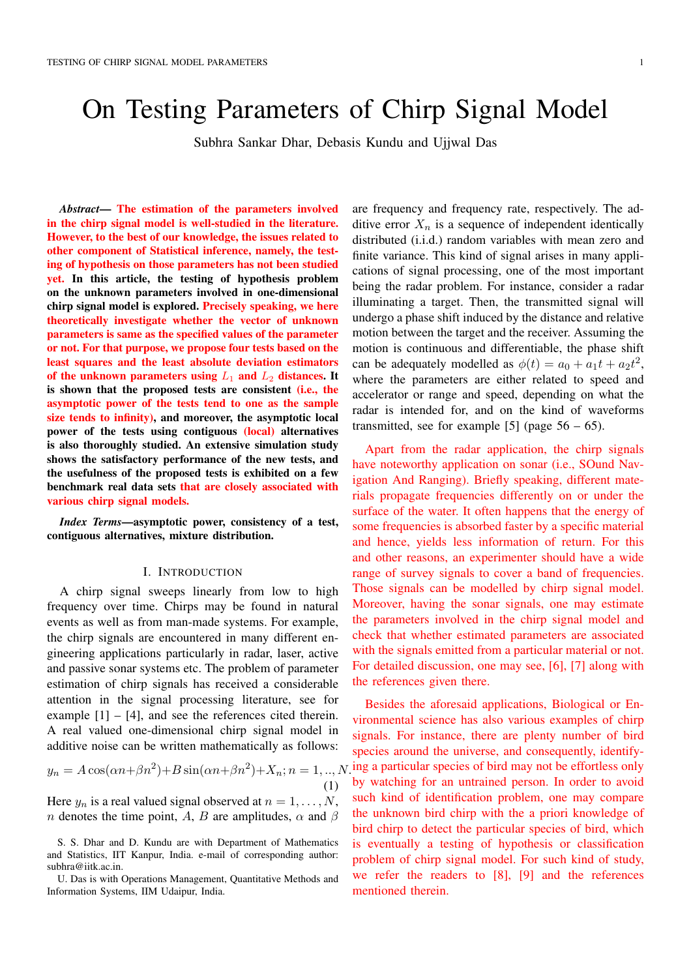# On Testing Parameters of Chirp Signal Model

Subhra Sankar Dhar, Debasis Kundu and Ujjwal Das

*Abstract*— The estimation of the parameters involved in the chirp signal model is well-studied in the literature. However, to the best of our knowledge, the issues related to other component of Statistical inference, namely, the testing of hypothesis on those parameters has not been studied yet. In this article, the testing of hypothesis problem on the unknown parameters involved in one-dimensional chirp signal model is explored. Precisely speaking, we here theoretically investigate whether the vector of unknown parameters is same as the specified values of the parameter or not. For that purpose, we propose four tests based on the least squares and the least absolute deviation estimators of the unknown parameters using  $L_1$  and  $L_2$  distances. It is shown that the proposed tests are consistent (i.e., the asymptotic power of the tests tend to one as the sample size tends to infinity), and moreover, the asymptotic local power of the tests using contiguous (local) alternatives is also thoroughly studied. An extensive simulation study shows the satisfactory performance of the new tests, and the usefulness of the proposed tests is exhibited on a few benchmark real data sets that are closely associated with various chirp signal models.

*Index Terms*—asymptotic power, consistency of a test, contiguous alternatives, mixture distribution.

### I. INTRODUCTION

A chirp signal sweeps linearly from low to high frequency over time. Chirps may be found in natural events as well as from man-made systems. For example, the chirp signals are encountered in many different engineering applications particularly in radar, laser, active and passive sonar systems etc. The problem of parameter estimation of chirp signals has received a considerable attention in the signal processing literature, see for example  $[1] - [4]$ , and see the references cited therein. A real valued one-dimensional chirp signal model in additive noise can be written mathematically as follows:

$$
y_n = A\cos(\alpha n + \beta n^2) + B\sin(\alpha n + \beta n^2) + X_n; n = 1, ..., N.
$$
\n(1)

Here  $y_n$  is a real valued signal observed at  $n = 1, \ldots, N$ , *n* denotes the time point, *A*, *B* are amplitudes,  $\alpha$  and  $\beta$  are frequency and frequency rate, respectively. The additive error  $X_n$  is a sequence of independent identically distributed (i.i.d.) random variables with mean zero and finite variance. This kind of signal arises in many applications of signal processing, one of the most important being the radar problem. For instance, consider a radar illuminating a target. Then, the transmitted signal will undergo a phase shift induced by the distance and relative motion between the target and the receiver. Assuming the motion is continuous and differentiable, the phase shift can be adequately modelled as  $\phi(t) = a_0 + a_1t + a_2t^2$ , where the parameters are either related to speed and accelerator or range and speed, depending on what the radar is intended for, and on the kind of waveforms transmitted, see for example [5] (page  $56 - 65$ ).

Apart from the radar application, the chirp signals have noteworthy application on sonar (i.e., SOund Navigation And Ranging). Briefly speaking, different materials propagate frequencies differently on or under the surface of the water. It often happens that the energy of some frequencies is absorbed faster by a specific material and hence, yields less information of return. For this and other reasons, an experimenter should have a wide range of survey signals to cover a band of frequencies. Those signals can be modelled by chirp signal model. Moreover, having the sonar signals, one may estimate the parameters involved in the chirp signal model and check that whether estimated parameters are associated with the signals emitted from a particular material or not. For detailed discussion, one may see, [6], [7] along with the references given there.

Besides the aforesaid applications, Biological or Environmental science has also various examples of chirp signals. For instance, there are plenty number of bird species around the universe, and consequently, identify- $\gamma$  ing a particular species of bird may not be effortless only by watching for an untrained person. In order to avoid such kind of identification problem, one may compare the unknown bird chirp with the a priori knowledge of bird chirp to detect the particular species of bird, which is eventually a testing of hypothesis or classification problem of chirp signal model. For such kind of study, we refer the readers to [8], [9] and the references mentioned therein.

S. S. Dhar and D. Kundu are with Department of Mathematics and Statistics, IIT Kanpur, India. e-mail of corresponding author: subhra@iitk.ac.in.

U. Das is with Operations Management, Quantitative Methods and Information Systems, IIM Udaipur, India.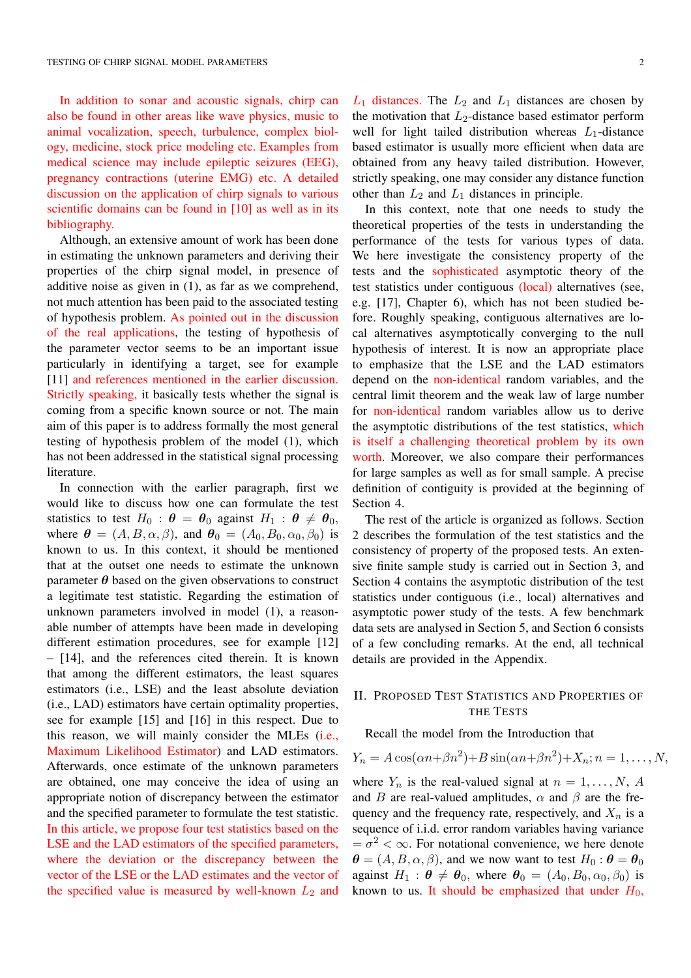In addition to sonar and acoustic signals, chirp can also be found in other areas like wave physics, music to animal vocalization, speech, turbulence, complex biology, medicine, stock price modeling etc. Examples from medical science may include epileptic seizures (EEG), pregnancy contractions (uterine EMG) etc. A detailed discussion on the application of chirp signals to various scientific domains can be found in [10] as well as in its bibliography.

Although, an extensive amount of work has been done in estimating the unknown parameters and deriving their properties of the chirp signal model, in presence of additive noise as given in (1), as far as we comprehend, not much attention has been paid to the associated testing of hypothesis problem. As pointed out in the discussion of the real applications, the testing of hypothesis of the parameter vector seems to be an important issue particularly in identifying a target, see for example [11] and references mentioned in the earlier discussion. Strictly speaking, it basically tests whether the signal is coming from a specific known source or not. The main aim of this paper is to address formally the most general testing of hypothesis problem of the model (1), which has not been addressed in the statistical signal processing literature.

In connection with the earlier paragraph, first we would like to discuss how one can formulate the test statistics to test  $H_0$ :  $\theta = \theta_0$  against  $H_1$ :  $\theta \neq \theta_0$ , where  $\theta = (A, B, \alpha, \beta)$ , and  $\theta_0 = (A_0, B_0, \alpha_0, \beta_0)$  is known to us. In this context, it should be mentioned that at the outset one needs to estimate the unknown parameter  $\theta$  based on the given observations to construct a legitimate test statistic. Regarding the estimation of unknown parameters involved in model (1), a reasonable number of attempts have been made in developing different estimation procedures, see for example [12] – [14], and the references cited therein. It is known that among the different estimators, the least squares estimators (i.e., LSE) and the least absolute deviation (i.e., LAD) estimators have certain optimality properties, see for example [15] and [16] in this respect. Due to this reason, we will mainly consider the MLEs (i.e., Maximum Likelihood Estimator) and LAD estimators. Afterwards, once estimate of the unknown parameters are obtained, one may conceive the idea of using an appropriate notion of discrepancy between the estimator and the specified parameter to formulate the test statistic. In this article, we propose four test statistics based on the LSE and the LAD estimators of the specified parameters, where the deviation or the discrepancy between the vector of the LSE or the LAD estimates and the vector of the specified value is measured by well-known  $L_2$  and *L*<sup>1</sup> distances. The *L*<sup>2</sup> and *L*<sup>1</sup> distances are chosen by the motivation that *L*2-distance based estimator perform well for light tailed distribution whereas  $L_1$ -distance based estimator is usually more efficient when data are obtained from any heavy tailed distribution. However, strictly speaking, one may consider any distance function other than  $L_2$  and  $L_1$  distances in principle.

In this context, note that one needs to study the theoretical properties of the tests in understanding the performance of the tests for various types of data. We here investigate the consistency property of the tests and the sophisticated asymptotic theory of the test statistics under contiguous (local) alternatives (see, e.g. [17], Chapter 6), which has not been studied before. Roughly speaking, contiguous alternatives are local alternatives asymptotically converging to the null hypothesis of interest. It is now an appropriate place to emphasize that the LSE and the LAD estimators depend on the non-identical random variables, and the central limit theorem and the weak law of large number for non-identical random variables allow us to derive the asymptotic distributions of the test statistics, which is itself a challenging theoretical problem by its own worth. Moreover, we also compare their performances for large samples as well as for small sample. A precise definition of contiguity is provided at the beginning of Section 4.

The rest of the article is organized as follows. Section 2 describes the formulation of the test statistics and the consistency of property of the proposed tests. An extensive finite sample study is carried out in Section 3, and Section 4 contains the asymptotic distribution of the test statistics under contiguous (i.e., local) alternatives and asymptotic power study of the tests. A few benchmark data sets are analysed in Section 5, and Section 6 consists of a few concluding remarks. At the end, all technical details are provided in the Appendix.

# II. PROPOSED TEST STATISTICS AND PROPERTIES OF THE TESTS

# Recall the model from the Introduction that

where  $Y_n$  is the real-valued signal at  $n = 1, \ldots, N$ , *A* and *B* are real-valued amplitudes,  $\alpha$  and  $\beta$  are the frequency and the frequency rate, respectively, and  $X_n$  is a sequence of i.i.d. error random variables having variance  $=\sigma^2 < \infty$ . For notational convenience, we here denote  $\theta = (A, B, \alpha, \beta)$ , and we now want to test  $H_0: \theta = \theta_0$ against  $H_1$ :  $\theta \neq \theta_0$ , where  $\theta_0 = (A_0, B_0, \alpha_0, \beta_0)$  is known to us. It should be emphasized that under  $H_0$ ,

 $Y_n = A \cos(\alpha n + \beta n^2) + B \sin(\alpha n + \beta n^2) + X_n; n = 1, \ldots, N,$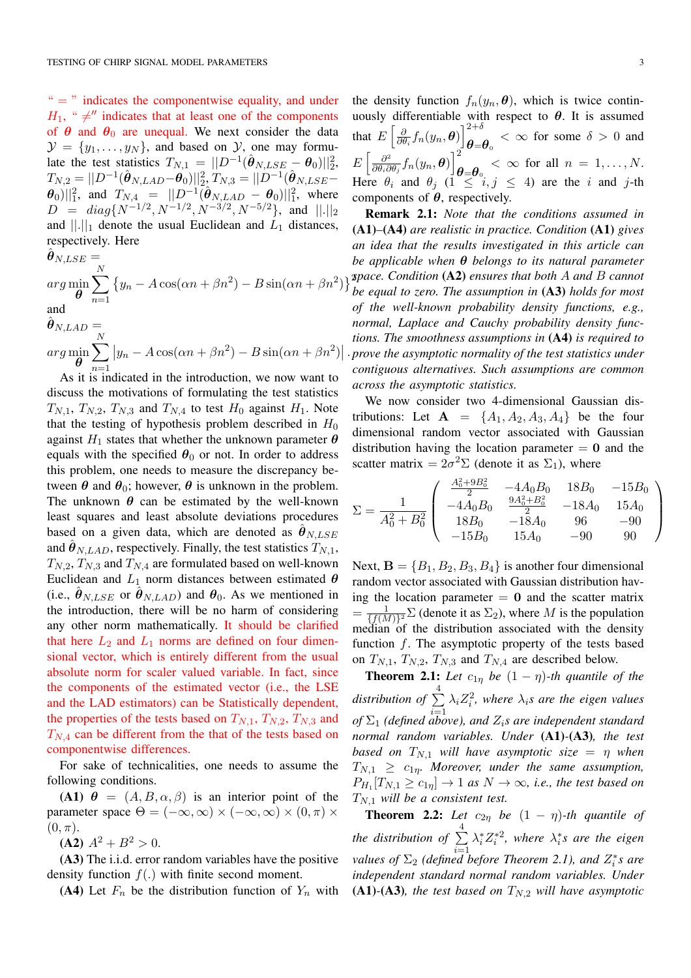$v =$  indicates the componentwise equality, and under  $H_1$ , "  $\neq$ " indicates that at least one of the components of  $\theta$  and  $\theta_0$  are unequal. We next consider the data  $\mathcal{Y} = \{y_1, \ldots, y_N\}$ , and based on *Y*, one may formulate the test statistics  $T_{N,1} = ||D^{-1}(\hat{\boldsymbol{\theta}}_{N, LSE} - \boldsymbol{\theta}_0)||_2^2$ ,  $T_{N,2} = ||D^{-1}(\hat{\boldsymbol{\theta}}_{N,LAD}-\boldsymbol{\theta}_0)||_{2}^2$ ,  $T_{N,3} = ||D^{-1}(\hat{\boldsymbol{\theta}}_{N,LSE}-\hat{\boldsymbol{\theta}}_0||_{2}^2$  $(\theta_0)||_1^2$ , and  $T_{N,4} = ||D^{-1}(\hat{\theta}_{N,LAB} - \theta_0)||_1^2$ , where  $D = diag\{N^{-1/2}, N^{-1/2}, N^{-3/2}, N^{-5/2}\},$  and  $||.||_2$ and  $||.||_1$  denote the usual Euclidean and  $L_1$  distances, respectively. Here

$$
\hat{\theta}_{N, LSE} =
$$
\n
$$
\arg\min_{\theta} \sum_{n=1}^{N} \{y_n - A\cos(\alpha n + \beta n^2) - B\sin(\alpha n + \beta n^2)\}
$$
\nand\n
$$
\hat{\theta}_{N, LAD} =
$$
\n
$$
\arg\min_{\theta} \sum_{n=1}^{N} |y_n - A\cos(\alpha n + \beta n^2) - B\sin(\alpha n + \beta n^2)|.
$$

 $\theta$ *n*=1 As it is indicated in the introduction, we now want to discuss the motivations of formulating the test statistics  $T_{N,1}$ ,  $T_{N,2}$ ,  $T_{N,3}$  and  $T_{N,4}$  to test  $H_0$  against  $H_1$ . Note that the testing of hypothesis problem described in *H*<sup>0</sup> against  $H_1$  states that whether the unknown parameter  $\theta$ equals with the specified  $\theta_0$  or not. In order to address this problem, one needs to measure the discrepancy between  $\theta$  and  $\theta_0$ ; however,  $\theta$  is unknown in the problem. The unknown  $\theta$  can be estimated by the well-known least squares and least absolute deviations procedures based on a given data, which are denoted as  $\hat{\theta}_{N, LSE}$ and  $\hat{\theta}_{N, LAD}$ , respectively. Finally, the test statistics  $T_{N,1}$ ,  $T_{N,2}$ ,  $T_{N,3}$  and  $T_{N,4}$  are formulated based on well-known Euclidean and  $L_1$  norm distances between estimated  $\theta$ (i.e.,  $\hat{\theta}_{N, LSE}$  or  $\hat{\theta}_{N, LAD}$ ) and  $\theta_0$ . As we mentioned in the introduction, there will be no harm of considering any other norm mathematically. It should be clarified that here  $L_2$  and  $L_1$  norms are defined on four dimensional vector, which is entirely different from the usual absolute norm for scaler valued variable. In fact, since the components of the estimated vector (i.e., the LSE and the LAD estimators) can be Statistically dependent, the properties of the tests based on  $T_{N,1}$ ,  $T_{N,2}$ ,  $T_{N,3}$  and *TN,*<sup>4</sup> can be different from the that of the tests based on componentwise differences.

For sake of technicalities, one needs to assume the following conditions.

(A1)  $\theta = (A, B, \alpha, \beta)$  is an interior point of the parameter space  $\Theta = (-\infty, \infty) \times (-\infty, \infty) \times (0, \pi) \times$  $(0, \pi)$ .

 $(A2)$   $A^2 + B^2 > 0$ .

(A3) The i.i.d. error random variables have the positive density function  $f(.)$  with finite second moment.

(A4) Let  $F_n$  be the distribution function of  $Y_n$  with

the density function  $f_n(y_n, \theta)$ , which is twice continuously differentiable with respect to  $\theta$ . It is assumed that  $E\left[\frac{\partial}{\partial \theta}\right]$  $\frac{\partial}{\partial \theta_i} f_n(y_n, \boldsymbol{\theta}) \bigg|_{\boldsymbol{\theta} = 0}^{2+\delta}$  $\theta = \theta_{\text{o}} \lt \infty$  for some  $\delta > 0$  and  $E\left[\frac{\partial^2}{\partial\theta_i\partial\theta_j}f_n(y_n,\boldsymbol{\theta})\right]_{\boldsymbol{\ell}}^2$  $\theta = \theta_0 \leq \infty$  for all  $n = 1, ..., N$ . Here  $\theta_i$  and  $\theta_j$  ( $1 \leq i, j \leq 4$ ) are the *i* and *j*-th components of  $\theta$ , respectively.

 $3^2$ Remark 2.1: *Note that the conditions assumed in* (A1)*–*(A4) *are realistic in practice. Condition* (A1) *gives an idea that the results investigated in this article can be applicable when*  $\theta$  *belongs to its natural parameter space. Condition* (A2) *ensures that both A and B cannot be equal to zero. The assumption in* (A3) *holds for most of the well-known probability density functions, e.g., normal, Laplace and Cauchy probability density functions. The smoothness assumptions in* (A4) *is required to prove the asymptotic normality of the test statistics under contiguous alternatives. Such assumptions are common across the asymptotic statistics.*

We now consider two 4-dimensional Gaussian distributions: Let  $A = \{A_1, A_2, A_3, A_4\}$  be the four dimensional random vector associated with Gaussian distribution having the location parameter  $= 0$  and the scatter matrix =  $2\sigma^2\Sigma$  (denote it as  $\Sigma_1$ ), where

$$
\Sigma = \frac{1}{A_0^2 + B_0^2} \begin{pmatrix} \frac{A_0^2 + 9B_0^2}{2} & -4A_0B_0 & 18B_0 & -15B_0\\ -4A_0B_0 & \frac{9A_0^2 + B_0^2}{2} & -18A_0 & 15A_0\\ 18B_0 & -18A_0 & 96 & -90\\ -15B_0 & 15A_0 & -90 & 90 \end{pmatrix}
$$

Next,  $\mathbf{B} = \{B_1, B_2, B_3, B_4\}$  is another four dimensional random vector associated with Gaussian distribution having the location parameter  $= 0$  and the scatter matrix  $=\frac{1}{\{f(M)\}^2} \sum$  (denote it as  $\Sigma_2$ ), where *M* is the population median of the distribution associated with the density function *f*. The asymptotic property of the tests based on  $T_{N,1}$ ,  $T_{N,2}$ ,  $T_{N,3}$  and  $T_{N,4}$  are described below.

**Theorem 2.1:** Let  $c_{1\eta}$  be  $(1 - \eta)$ -th quantile of the *distribution of*  $\sum_{ }^{4}$ *i*=1  $\lambda_i Z_i^2$ , where  $\lambda_i$ *s* are the eigen values *of*  $\Sigma_1$  (defined above), and  $Z_i$ *s* are independent standard *normal random variables. Under* (A1)*-*(A3)*, the test based on*  $T_{N,1}$  *will have asymptotic size* =  $\eta$  *when*  $T_{N,1} \geq c_{1n}$ *. Moreover, under the same assumption,*  $P_{H_1}[T_{N,1} \ge c_{1\eta}] \rightarrow 1$  *as*  $N \rightarrow \infty$ *, i.e., the test based on TN,*<sup>1</sup> *will be a consistent test.*

**Theorem 2.2:** Let  $c_{2\eta}$  be  $(1 - \eta)$ -th quantile of the distribution of  $\sum^4$ *i*=1  $\lambda_i^* Z_i^{*2}$ , where  $\lambda_i^* s$  are the eigen *values of*  $\Sigma_2$  (defined before Theorem 2.1), and  $Z_i^*$ s are *independent standard normal random variables. Under* (A1)-(A3), the test based on  $T_{N,2}$  will have asymptotic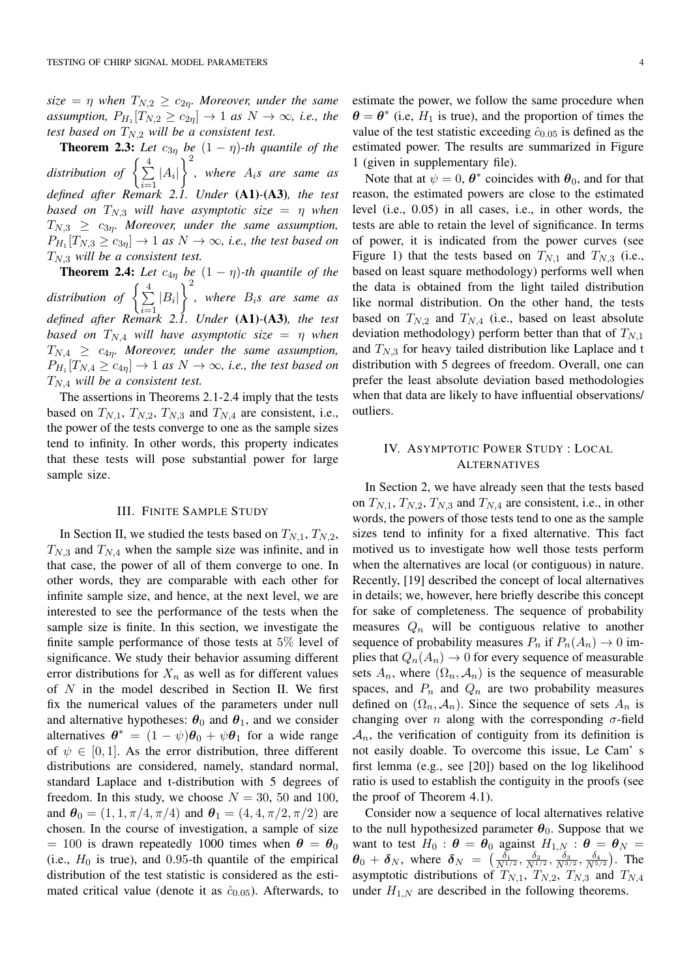$size = \eta$  when  $T_{N,2} \ge c_{2\eta}$ . Moreover, under the same *assumption,*  $P_{H_1}[T_{N,2} \ge c_{2\eta}] \rightarrow 1$  *as*  $N \rightarrow \infty$ *, i.e., the test based on TN,*<sup>2</sup> *will be a consistent test.*

**Theorem 2.3:** Let  $c_{3\eta}$  be  $(1 - \eta)$ -th quantile of the *distribution of*  $\left\{ \frac{4}{2} \right\}$  $\sum_{i=1}$  |A<sub>*i*</sub>|  $\left.\right.^{2}$ *, where Ais are same as defined after Remark 2.1. Under* (A1)*-*(A3)*, the test based on*  $T_{N,3}$  *will have asymptotic size* =  $\eta$  *when*  $T_{N,3} \geq c_{3\eta}$ . Moreover, under the same assumption,  $P_{H_1}[T_{N,3} \ge c_{3\eta}] \rightarrow 1$  *as*  $N \rightarrow \infty$ *, i.e., the test based on TN,*<sup>3</sup> *will be a consistent test.*

**Theorem 2.4:** Let  $c_{4\eta}$  be  $(1 - \eta)$ -th quantile of the *distribution of*  $\left\{\frac{4}{\sum}\right\}$  $\sum_{i=1}$  |  $B_i$ |  $\lambda^2$ *, where Bis are same as defined after Remark 2.1. Under* (A1)*-*(A3)*, the test based on*  $T_{N,4}$  *will have asymptotic size* =  $\eta$  *when*  $T_{N,4} \geq c_{4\eta}$ . Moreover, under the same assumption,  $P_{H_1}[T_{N,4} \geq c_{4\eta}] \rightarrow 1$  *as*  $N \rightarrow \infty$ *, i.e., the test based on TN,*<sup>4</sup> *will be a consistent test.*

The assertions in Theorems 2.1-2.4 imply that the tests based on  $T_{N,1}$ ,  $T_{N,2}$ ,  $T_{N,3}$  and  $T_{N,4}$  are consistent, i.e., the power of the tests converge to one as the sample sizes tend to infinity. In other words, this property indicates that these tests will pose substantial power for large sample size.

## III. FINITE SAMPLE STUDY

In Section II, we studied the tests based on  $T_{N,1}$ ,  $T_{N,2}$ , *TN,*<sup>3</sup> and *TN,*<sup>4</sup> when the sample size was infinite, and in that case, the power of all of them converge to one. In other words, they are comparable with each other for infinite sample size, and hence, at the next level, we are interested to see the performance of the tests when the sample size is finite. In this section, we investigate the finite sample performance of those tests at 5% level of significance. We study their behavior assuming different error distributions for  $X_n$  as well as for different values of *N* in the model described in Section II. We first fix the numerical values of the parameters under null and alternative hypotheses:  $\theta_0$  and  $\theta_1$ , and we consider alternatives  $\theta^* = (1 - \psi)\theta_0 + \psi\theta_1$  for a wide range of  $\psi \in [0, 1]$ . As the error distribution, three different distributions are considered, namely, standard normal, standard Laplace and t-distribution with 5 degrees of freedom. In this study, we choose  $N = 30, 50$  and 100, and  $\theta_0 = (1, 1, \pi/4, \pi/4)$  and  $\theta_1 = (4, 4, \pi/2, \pi/2)$  are chosen. In the course of investigation, a sample of size  $= 100$  is drawn repeatedly 1000 times when  $\theta = \theta_0$ (i.e.,  $H_0$  is true), and 0.95-th quantile of the empirical distribution of the test statistic is considered as the estimated critical value (denote it as  $\hat{c}_{0.05}$ ). Afterwards, to estimate the power, we follow the same procedure when  $\theta = \theta^*$  (i.e,  $H_1$  is true), and the proportion of times the value of the test statistic exceeding  $\hat{c}_{0.05}$  is defined as the estimated power. The results are summarized in Figure 1 (given in supplementary file).

Note that at  $\psi = 0$ ,  $\theta^*$  coincides with  $\theta_0$ , and for that reason, the estimated powers are close to the estimated level (i.e., 0.05) in all cases, i.e., in other words, the tests are able to retain the level of significance. In terms of power, it is indicated from the power curves (see Figure 1) that the tests based on  $T_{N,1}$  and  $T_{N,3}$  (i.e., based on least square methodology) performs well when the data is obtained from the light tailed distribution like normal distribution. On the other hand, the tests based on  $T_{N,2}$  and  $T_{N,4}$  (i.e., based on least absolute deviation methodology) perform better than that of *TN,*<sup>1</sup> and  $T_{N,3}$  for heavy tailed distribution like Laplace and t distribution with 5 degrees of freedom. Overall, one can prefer the least absolute deviation based methodologies when that data are likely to have influential observations/ outliers.

# IV. ASYMPTOTIC POWER STUDY : LOCAL ALTERNATIVES

In Section 2, we have already seen that the tests based on  $T_{N,1}$ ,  $T_{N,2}$ ,  $T_{N,3}$  and  $T_{N,4}$  are consistent, i.e., in other words, the powers of those tests tend to one as the sample sizes tend to infinity for a fixed alternative. This fact motived us to investigate how well those tests perform when the alternatives are local (or contiguous) in nature. Recently, [19] described the concept of local alternatives in details; we, however, here briefly describe this concept for sake of completeness. The sequence of probability measures  $Q_n$  will be contiguous relative to another sequence of probability measures  $P_n$  if  $P_n(A_n) \to 0$  implies that  $Q_n(A_n) \to 0$  for every sequence of measurable sets  $A_n$ , where  $(\Omega_n, \mathcal{A}_n)$  is the sequence of measurable spaces, and  $P_n$  and  $Q_n$  are two probability measures defined on  $(\Omega_n, \mathcal{A}_n)$ . Since the sequence of sets  $A_n$  is changing over *n* along with the corresponding  $\sigma$ -field  $A_n$ , the verification of contiguity from its definition is not easily doable. To overcome this issue, Le Cam' s first lemma (e.g., see [20]) based on the log likelihood ratio is used to establish the contiguity in the proofs (see the proof of Theorem 4.1).

Consider now a sequence of local alternatives relative to the null hypothesized parameter  $\theta_0$ . Suppose that we want to test  $H_0$ :  $\theta = \theta_0$  against  $H_{1,N}$ :  $\theta = \theta_N$  $\theta_0 + \delta_N$ , where  $\delta_N = \left(\frac{\delta_1}{N^{1/2}}, \frac{\delta_2}{N^{1/2}}, \frac{\delta_3}{N^{3/2}}, \frac{\delta_4}{N^{5/2}}\right)$ . The asymptotic distributions of  $T_{N,1}$ ,  $T_{N,2}$ ,  $T_{N,3}$  and  $T_{N,4}$ under  $H_{1,N}$  are described in the following theorems.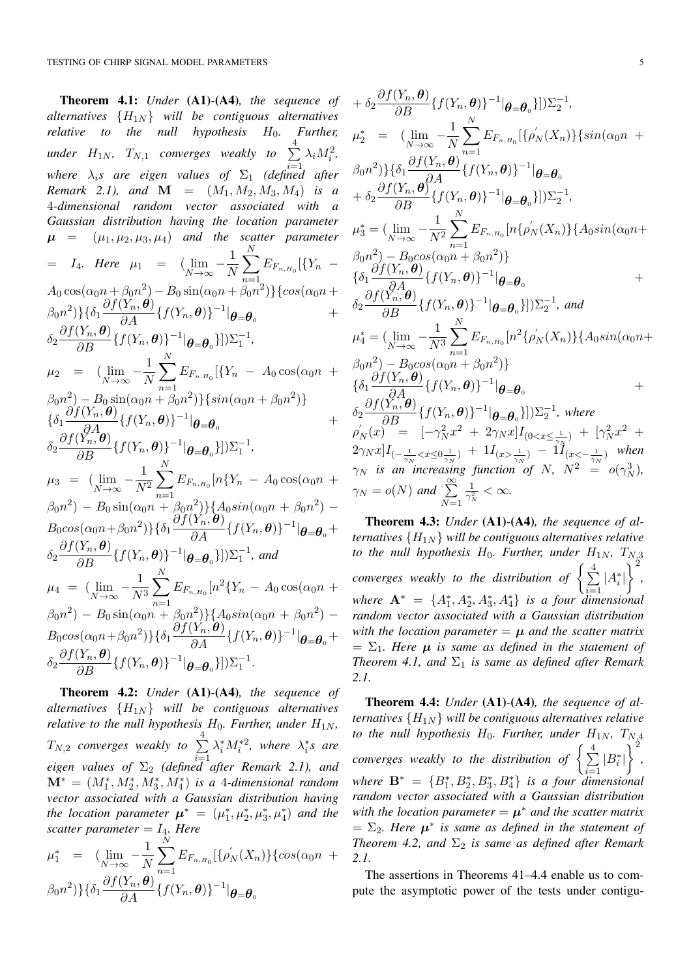Theorem 4.1: *Under* (A1)*-*(A4)*, the sequence of alternatives*  ${H_{1N}}$  *will be contiguous alternatives* relative to the null hypothesis  $H_0$ . Further, *to the null hypothesis*  $H_0$ . *under*  $H_{1N}$ ,  $T_{N,1}$  *converges weakly to*  $\sum_{i=1}^{4} \lambda_i M_i^2$ , where  $\lambda_i$ s are eigen values of  $\Sigma_1$  (defined after *Remark* 2.1), and  $M = (M_1, M_2, M_3, M_4)$  *is a* 4*-dimensional random vector associated with a Gaussian distribution having the location parameter*  $\mu$  =  $(\mu_1, \mu_2, \mu_3, \mu_4)$  *and the scatter parameter*  $= I_4$ *. Here*  $\mu_1 = (\lim_{N \to \infty} -\frac{1}{N})$ X *N n*=1  $E_{F_{n,H_0}}[\{Y_n A_0 \cos(\alpha_0 n + \beta_0 n^2) - B_0 \sin(\alpha_0 n + \beta_0 n^2)$ }{*cos*( $\alpha_0 n +$  $\frac{\partial f(Y_n, \theta)}{\partial A} \{f(Y_n, \theta)\}^{-1} |_{\theta = \theta_0}$  +  $\delta_2 \frac{\partial f(Y_n, \boldsymbol{\theta})}{\partial B} \{f(Y_n, \boldsymbol{\theta})\}^{-1} |\boldsymbol{\theta} = \boldsymbol{\theta}_0\}|) \Sigma_1^{-1},$  $\mu_2 = (\lim_{N \to \infty} -\frac{1}{N})$ X *N*  $\beta_0 n^2$ ) -  $B_0 \sin(\alpha_0 n + \beta_0 n^2)$ }{*sin*( $\alpha_0 n + \beta_0 n^2$ )}  $E_{F_{n,H_0}}[\{Y_n - A_0 \cos(\alpha_0 n + \$  $\{\delta_1 \frac{\partial f(Y_n, \theta)}{\partial A_0}\{f(Y_n, \theta)\}^{-1}|\theta = \theta_0$  +  $\delta_2 \frac{\partial f(Y_n, \boldsymbol{\theta})}{\partial B} \{f(Y_n, \boldsymbol{\theta})\}^{-1} |\boldsymbol{\theta} = \boldsymbol{\theta}_0\}|) \Sigma_1^{-1},$  $\mu_3 = (\lim_{N \to \infty} -\frac{1}{N^2})$ X *N*  $\beta_0 n^2$ ) –  $B_0 \sin(\alpha_0 n + \beta_0 n^2)$ }{*A*<sub>0</sub>*sin*( $\alpha_0 n + \beta_0 n^2$ ) –  $E_{F_{n,H_0}}[n\{Y_n - A_0 \cos(\alpha_0 n + \alpha_0)\}]$  $B_0 \cos(\alpha_0 n + \beta_0 n^2) \} {\{\delta_1 \frac{\partial f(Y_n, \theta)}{\partial A} \{f(Y_n, \theta)\}}^{-1} |\theta = \theta_0} +$  $\delta_2 \frac{\partial f(Y_n, \boldsymbol{\theta})}{\partial B} \{f(Y_n, \boldsymbol{\theta})\}^{-1} |_{\boldsymbol{\theta} = \boldsymbol{\theta}_0}\}] \Sigma_1^{-1}$ , and  $\mu_4 = (\lim_{N \to \infty} -\frac{1}{N^3})$ X *N*  $\beta_0 n^2$ ) –  $B_0 \sin(\alpha_0 n + \beta_0 n^2)$ }{*A*<sub>0</sub>*sin*( $\alpha_0 n + \beta_0 n^2$ ) –  $E_{F_{n,H_0}}[n^2\{Y_n - A_0 \cos(\alpha_0 n +$  $B_0 \cos(\alpha_0 n + \beta_0 n^2) \} {\{\delta_1 \frac{\partial f(Y_n, \boldsymbol{\theta})}{\partial A} \} } \{f(Y_n, \boldsymbol{\theta})\}^{-1} |_{\boldsymbol{\theta} = \boldsymbol{\theta}_0} +$  $\delta_2 \frac{\partial f(Y_n, \boldsymbol{\theta})}{\partial B} \{f(Y_n, \boldsymbol{\theta})\}^{-1} |\boldsymbol{\theta} = \boldsymbol{\theta}_0\}] \sum_{1}^{-1}$ .

Theorem 4.2: *Under* (A1)*-*(A4)*, the sequence of alternatives {H*1*<sup>N</sup> } will be contiguous alternatives relative to the null hypothesis*  $H_0$ *. Further, under*  $H_{1N}$ *,*  $T_{N,2}$  converges weakly to  $\sum^{4}$  $eigen$  values of  $\Sigma_2$  (defined after Remark 2.1), and  $\lambda_i^* M_i^{*2}$ , where  $\lambda_i^* s$  are  $\mathbf{M}^* = (M_1^*, M_2^*, M_3^*, M_4^*)$  *is a 4-dimensional random vector associated with a Gaussian distribution having the location parameter*  $\mu^* = (\mu_1^*, \mu_2^*, \mu_3^*, \mu_4^*)$  *and the scatter parameter* =  $I_4$ *. Here* 

$$
\mu_1^* = (\lim_{N \to \infty} -\frac{1}{N} \sum_{n=1}^N E_{F_{n,H_0}} [\{\rho'_N(X_n)\} \{\cos(\alpha_0 n + \beta_0 n^2)\} \{\delta_1 \frac{\partial f(Y_n, \theta)}{\partial A} \{f(Y_n, \theta)\}^{-1} | \theta = \theta_0
$$

$$
+ \delta_2 \frac{\partial f(Y_n, \theta)}{\partial B} \{f(Y_n, \theta)\}^{-1} |\theta = \theta_0\}|) \Sigma_2^{-1},
$$
  
\n
$$
\mu_2^* = (\lim_{N \to \infty} -\frac{1}{N} \sum_{n=1}^N E_{F_{n,H_0}}[\{\rho'_N(X_n)\}\{sin(\alpha_0 n + \beta_0 n^2)\}\{\delta_1 \frac{\partial f(Y_n, \theta)}{\partial A} \{f(Y_n, \theta)\}^{-1} |\theta = \theta_0 + \delta_2 \frac{\partial f(Y_n, \theta)}{\partial B} \{f(Y_n, \theta)\}^{-1} |\theta = \theta_0\}|) \Sigma_2^{-1},
$$
  
\n
$$
\mu_3^* = (\lim_{N \to \infty} -\frac{1}{N^2} \sum_{n=1}^N E_{F_{n,H_0}}[n\{\rho'_N(X_n)\}\{A_0 \sin(\alpha_0 n + \beta_0 n^2) - B_0 \cos(\alpha_0 n + \beta_0 n^2)\}\{\delta_1 \frac{\partial f(Y_n, \theta)}{\partial A} \{f(Y_n, \theta)\}^{-1} |\theta = \theta_0 + \delta_2 \frac{\partial f(Y_n, \theta)}{\partial B} \{f(Y_n, \theta)\}^{-1} |\theta = \theta_0\}|) \Sigma_2^{-1}, and
$$
  
\n
$$
\mu_4^* = (\lim_{N \to \infty} -\frac{1}{N^3} \sum_{n=1}^N E_{F_{n,H_0}}[n^2 \{\rho'_N(X_n)\}\{A_0 \sin(\alpha_0 n + \beta_0 n^2) - B_0 \cos(\alpha_0 n + \beta_0 n^2)\}\{\delta_1 \frac{\partial f(Y_n, \theta)}{\partial B} \{f(Y_n, \theta)\}^{-1} |\theta = \theta_0 + \delta_2 \frac{\partial f(Y_n, \theta)}{\partial B} \{f(Y_n, \theta)\}^{-1} |\theta = \theta_0\}|) \Sigma_2^{-1}, where
$$
  
\n
$$
\rho'_N(x) = [-\gamma_N^2 x^2 + 2\gamma_N x]I_{(0 < x \le \frac{1}{\gamma_N})} + \Gamma_N^2 x^2 + 2\gamma_N x]I_{(-\frac{1}{\gamma_N} < x \le 0} \frac{\gamma_N}{\gamma_N}; as an increasing function of N, N^2 = o(\gamma_N^3),
$$
  
\n
$$
\gamma_N = o(N) and \sum_{N=1
$$

Theorem 4.3: *Under* (A1)*-*(A4)*, the sequence of alternatives*  ${H_{1N}}$  *will be contiguous alternatives relative to the null hypothesis*  $H_0$ *. Further, under*  $H_{1N}$ *,*  $T_{N,3}$ converges weakly to the distribution of  $\left\{\frac{4}{2}\right\}$  $\sum_{i=1}^{\infty} |A_i^*|$  $\left.\right.^{2}$ *, where*  $\mathbf{A}^* = \{A_1^*, A_2^*, A_3^*, A_4^*\}$  *is a four dimensional random vector associated with a Gaussian distribution with the location parameter*  $= \mu$  *and the scatter matrix*  $= \Sigma_1$ . Here  $\mu$  is same as defined in the statement of *Theorem 4.1, and*  $\Sigma_1$  *is same as defined after Remark 2.1.*

Theorem 4.4: *Under* (A1)*-*(A4)*, the sequence of alternatives*  ${H_{1N}}$  *will be contiguous alternatives relative to the null hypothesis*  $H_0$ *. Further, under*  $H_{1N}$ *,*  $T_{N_A^A}$ *converges weakly to the distribution of*  $\left\{\frac{4}{2}\right\}$  $\sum_{i=1}^{\infty} |B_i^*|$  $\left.\right.^{2}$ *, where*  $\mathbf{B}^* = \{B_1^*, B_2^*, B_3^*, B_4^*\}$  *is a four dimensional random vector associated with a Gaussian distribution with the location parameter*  $= \mu^*$  *and the scatter matrix*  $= \Sigma_2$ . Here  $\mu^*$  is same as defined in the statement of *Theorem 4.2, and*  $\Sigma_2$  *is same as defined after Remark 2.1.*

The assertions in Theorems 41–4.4 enable us to compute the asymptotic power of the tests under contigu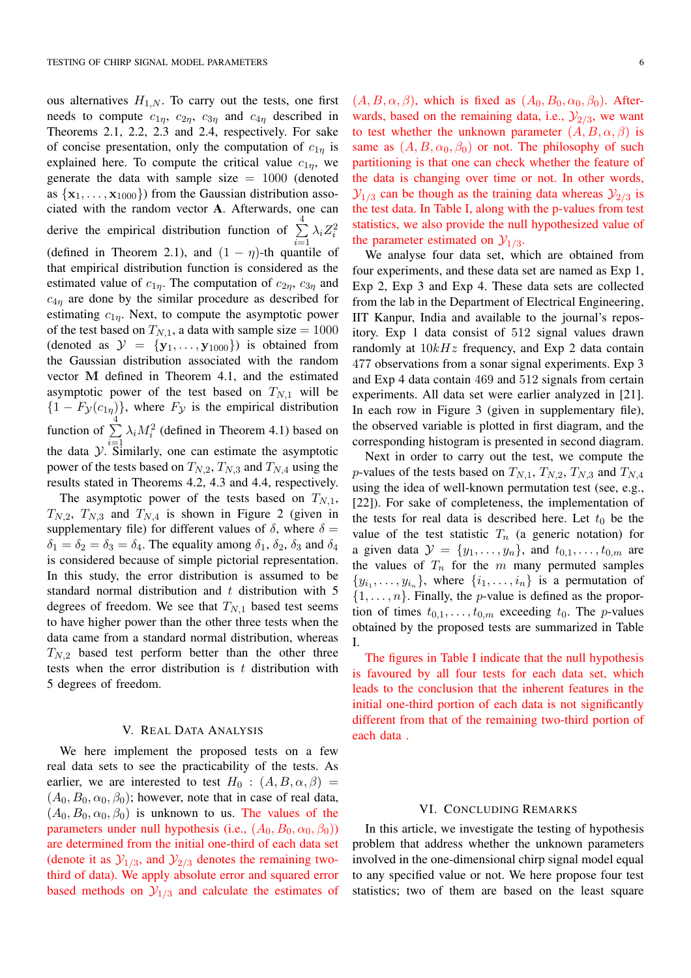ous alternatives  $H_{1,N}$ . To carry out the tests, one first needs to compute  $c_{1\eta}$ ,  $c_{2\eta}$ ,  $c_{3\eta}$  and  $c_{4\eta}$  described in Theorems 2.1, 2.2, 2.3 and 2.4, respectively. For sake of concise presentation, only the computation of  $c_{1n}$  is explained here. To compute the critical value  $c_{1\eta}$ , we generate the data with sample size  $= 1000$  (denoted as  $\{x_1, \ldots, x_{1000}\}$  from the Gaussian distribution associated with the random vector A. Afterwards, one can derive the empirical distribution function of  $\sum_{ }^{4}$ *i*=1  $\lambda_i Z_i^2$ (defined in Theorem 2.1), and  $(1 - \eta)$ -th quantile of that empirical distribution function is considered as the estimated value of  $c_{1\eta}$ . The computation of  $c_{2\eta}$ ,  $c_{3\eta}$  and  $c_{4n}$  are done by the similar procedure as described for estimating  $c_{1n}$ . Next, to compute the asymptotic power of the test based on  $T_{N,1}$ , a data with sample size = 1000 (denoted as  $\mathcal{Y} = \{y_1, \ldots, y_{1000}\}\)$  is obtained from the Gaussian distribution associated with the random vector M defined in Theorem 4.1, and the estimated asymptotic power of the test based on  $T_{N,1}$  will be  ${1 - F_y(c_{1\eta})}$ , where *F<sub>y</sub>* is the empirical distribution function of  $\sum_{i=1}^{4} \lambda_i M_i^2$  (defined in Theorem 4.1) based on the data  $\mathcal{Y}$ . Similarly, one can estimate the asymptotic power of the tests based on  $T_{N,2}$ ,  $T_{N,3}$  and  $T_{N,4}$  using the results stated in Theorems 4.2, 4.3 and 4.4, respectively.

The asymptotic power of the tests based on  $T_{N,1}$ ,  $T_{N,2}$ ,  $T_{N,3}$  and  $T_{N,4}$  is shown in Figure 2 (given in supplementary file) for different values of  $\delta$ , where  $\delta =$  $\delta_1 = \delta_2 = \delta_3 = \delta_4$ . The equality among  $\delta_1$ ,  $\delta_2$ ,  $\delta_3$  and  $\delta_4$ is considered because of simple pictorial representation. In this study, the error distribution is assumed to be standard normal distribution and *t* distribution with 5 degrees of freedom. We see that  $T_{N,1}$  based test seems to have higher power than the other three tests when the data came from a standard normal distribution, whereas *TN,*<sup>2</sup> based test perform better than the other three tests when the error distribution is *t* distribution with 5 degrees of freedom.

## V. REAL DATA ANALYSIS

We here implement the proposed tests on a few real data sets to see the practicability of the tests. As earlier, we are interested to test  $H_0$  :  $(A, B, \alpha, \beta)$  =  $(A_0, B_0, \alpha_0, \beta_0)$ ; however, note that in case of real data,  $(A_0, B_0, \alpha_0, \beta_0)$  is unknown to us. The values of the parameters under null hypothesis (i.e.,  $(A_0, B_0, \alpha_0, \beta_0)$ ) are determined from the initial one-third of each data set (denote it as  $\mathcal{Y}_{1/3}$ , and  $\mathcal{Y}_{2/3}$  denotes the remaining twothird of data). We apply absolute error and squared error based methods on  $\mathcal{Y}_{1/3}$  and calculate the estimates of  $(A, B, \alpha, \beta)$ , which is fixed as  $(A_0, B_0, \alpha_0, \beta_0)$ . Afterwards, based on the remaining data, i.e.,  $\mathcal{Y}_{2/3}$ , we want to test whether the unknown parameter  $(A, B, \alpha, \beta)$  is same as  $(A, B, \alpha_0, \beta_0)$  or not. The philosophy of such partitioning is that one can check whether the feature of the data is changing over time or not. In other words,  $\mathcal{Y}_{1/3}$  can be though as the training data whereas  $\mathcal{Y}_{2/3}$  is the test data. In Table I, along with the p-values from test statistics, we also provide the null hypothesized value of the parameter estimated on  $\mathcal{Y}_{1/3}$ .

We analyse four data set, which are obtained from four experiments, and these data set are named as Exp 1, Exp 2, Exp 3 and Exp 4. These data sets are collected from the lab in the Department of Electrical Engineering, IIT Kanpur, India and available to the journal's repository. Exp 1 data consist of 512 signal values drawn randomly at 10*kHz* frequency, and Exp 2 data contain 477 observations from a sonar signal experiments. Exp 3 and Exp 4 data contain 469 and 512 signals from certain experiments. All data set were earlier analyzed in [21]. In each row in Figure 3 (given in supplementary file), the observed variable is plotted in first diagram, and the corresponding histogram is presented in second diagram.

Next in order to carry out the test, we compute the *p*-values of the tests based on  $T_{N,1}$ ,  $T_{N,2}$ ,  $T_{N,3}$  and  $T_{N,4}$ using the idea of well-known permutation test (see, e.g., [22]). For sake of completeness, the implementation of the tests for real data is described here. Let  $t_0$  be the value of the test statistic  $T_n$  (a generic notation) for a given data  $\mathcal{Y} = \{y_1, \ldots, y_n\}$ , and  $t_{0,1}, \ldots, t_{0,m}$  are the values of  $T_n$  for the  $m$  many permuted samples  $\{y_{i_1}, \ldots, y_{i_n}\}$ , where  $\{i_1, \ldots, i_n\}$  is a permutation of  $\{1, \ldots, n\}$ . Finally, the *p*-value is defined as the proportion of times  $t_{0,1}, \ldots, t_{0,m}$  exceeding  $t_0$ . The *p*-values obtained by the proposed tests are summarized in Table I.

The figures in Table I indicate that the null hypothesis is favoured by all four tests for each data set, which leads to the conclusion that the inherent features in the initial one-third portion of each data is not significantly different from that of the remaining two-third portion of each data .

# VI. CONCLUDING REMARKS

In this article, we investigate the testing of hypothesis problem that address whether the unknown parameters involved in the one-dimensional chirp signal model equal to any specified value or not. We here propose four test statistics; two of them are based on the least square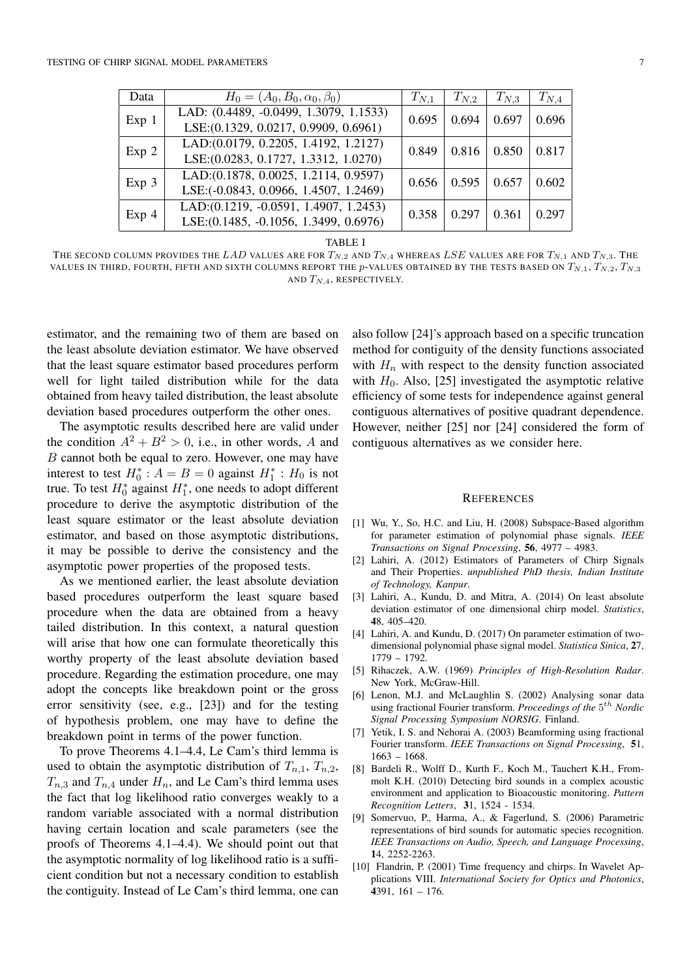| Data             | $H_0 = (A_0, B_0, \alpha_0, \beta_0)$                    | $T_{N,1}$ | $T_{N,2}$ | $T_{N,3}$ | $T_{N,4}$ |
|------------------|----------------------------------------------------------|-----------|-----------|-----------|-----------|
| Exp 1            | LAD: (0.4489, -0.0499, 1.3079, 1.1533)                   | 0.695     | 0.694     | 0.697     | 0.696     |
|                  | LSE: (0.1329, 0.0217, 0.9909, 0.6961)                    |           |           |           |           |
| Exp 2            | $\overline{\text{LAD}:(0.0179, 0.2205, 1.4192, 1.2127)}$ | 0.849     | 0.816     | 0.850     | 0.817     |
|                  | LSE: (0.0283, 0.1727, 1.3312, 1.0270)                    |           |           |           |           |
| Exp 3            | LAD:(0.1878, 0.0025, 1.2114, 0.9597)                     | 0.656     | 0.595     | 0.657     | 0.602     |
|                  | LSE:(-0.0843, 0.0966, 1.4507, 1.2469)                    |           |           |           |           |
| Exp <sub>4</sub> | LAD:(0.1219, -0.0591, 1.4907, 1.2453)                    | 0.358     | 0.297     | 0.361     | 0.297     |
|                  | LSE: (0.1485, -0.1056, 1.3499, 0.6976)                   |           |           |           |           |

TABLE I

THE SECOND COLUMN PROVIDES THE *LAD* VALUES ARE FOR  $T_{N,2}$  and  $T_{N,4}$  whereas *LSE* values are for  $T_{N,1}$  and  $T_{N,3}$ . The VALUES IN THIRD, FOURTH, FIFTH AND SIXTH COLUMNS REPORT THE  $p$ -VALUES OBTAINED BY THE TESTS BASED ON  $T_{N,1}, T_{N,2}, T_{N,3}$ AND *TN,*4, RESPECTIVELY.

estimator, and the remaining two of them are based on the least absolute deviation estimator. We have observed that the least square estimator based procedures perform well for light tailed distribution while for the data obtained from heavy tailed distribution, the least absolute deviation based procedures outperform the other ones.

The asymptotic results described here are valid under the condition  $A^2 + B^2 > 0$ , i.e., in other words, A and *B* cannot both be equal to zero. However, one may have interest to test  $H_0^*$ :  $A = B = 0$  against  $H_1^*$ :  $H_0$  is not true. To test  $H_0^*$  against  $H_1^*$ , one needs to adopt different procedure to derive the asymptotic distribution of the least square estimator or the least absolute deviation estimator, and based on those asymptotic distributions, it may be possible to derive the consistency and the asymptotic power properties of the proposed tests.

As we mentioned earlier, the least absolute deviation based procedures outperform the least square based procedure when the data are obtained from a heavy tailed distribution. In this context, a natural question will arise that how one can formulate theoretically this worthy property of the least absolute deviation based procedure. Regarding the estimation procedure, one may adopt the concepts like breakdown point or the gross error sensitivity (see, e.g., [23]) and for the testing of hypothesis problem, one may have to define the breakdown point in terms of the power function.

To prove Theorems 4.1–4.4, Le Cam's third lemma is used to obtain the asymptotic distribution of  $T_{n,1}$ ,  $T_{n,2}$ ,  $T_{n,3}$  and  $T_{n,4}$  under  $H_n$ , and Le Cam's third lemma uses the fact that log likelihood ratio converges weakly to a random variable associated with a normal distribution having certain location and scale parameters (see the proofs of Theorems 4.1–4.4). We should point out that the asymptotic normality of log likelihood ratio is a sufficient condition but not a necessary condition to establish the contiguity. Instead of Le Cam's third lemma, one can

also follow [24]'s approach based on a specific truncation method for contiguity of the density functions associated with  $H_n$  with respect to the density function associated with  $H_0$ . Also, [25] investigated the asymptotic relative efficiency of some tests for independence against general contiguous alternatives of positive quadrant dependence. However, neither [25] nor [24] considered the form of contiguous alternatives as we consider here.

#### **REFERENCES**

- [1] Wu, Y., So, H.C. and Liu, H. (2008) Subspace-Based algorithm for parameter estimation of polynomial phase signals. *IEEE Transactions on Signal Processing*, 56, 4977 – 4983.
- [2] Lahiri, A. (2012) Estimators of Parameters of Chirp Signals and Their Properties. *unpublished PhD thesis, Indian Institute of Technology, Kanpur*.
- [3] Lahiri, A., Kundu, D. and Mitra, A. (2014) On least absolute deviation estimator of one dimensional chirp model. *Statistics*, 48, 405–420.
- [4] Lahiri, A. and Kundu, D. (2017) On parameter estimation of twodimensional polynomial phase signal model. *Statistica Sinica*, 27, 1779 – 1792.
- [5] Rihaczek, A.W. (1969) *Principles of High-Resolution Radar*. New York, McGraw-Hill.
- [6] Lenon, M.J. and McLaughlin S. (2002) Analysing sonar data using fractional Fourier transform. *Proceedings of the* 5*th Nordic Signal Processing Symposium NORSIG*. Finland.
- [7] Yetik, I. S. and Nehorai A. (2003) Beamforming using fractional Fourier transform. *IEEE Transactions on Signal Processing*, 51, 1663 – 1668.
- [8] Bardeli R., Wolff D., Kurth F., Koch M., Tauchert K.H., Frommolt K.H. (2010) Detecting bird sounds in a complex acoustic environment and application to Bioacoustic monitoring. *Pattern Recognition Letters*, 31, 1524 - 1534.
- [9] Somervuo, P., Harma, A., & Fagerlund, S. (2006) Parametric representations of bird sounds for automatic species recognition. *IEEE Transactions on Audio, Speech, and Language Processing*, 14, 2252-2263.
- [10] Flandrin, P. (2001) Time frequency and chirps. In Wavelet Applications VIII. *International Society for Optics and Photonics*, 4391, 161 – 176.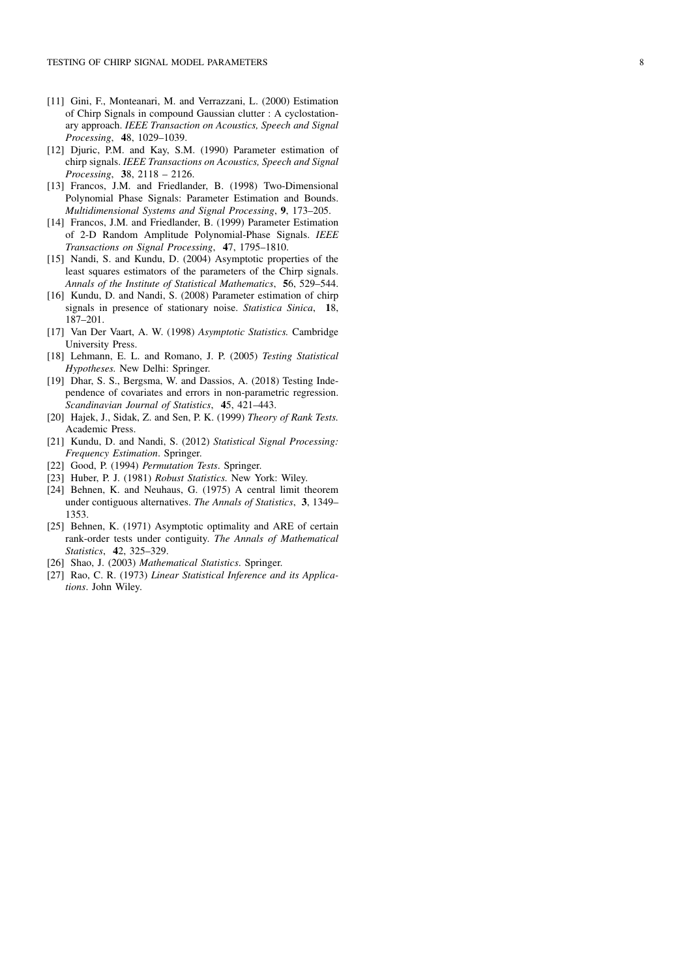- [11] Gini, F., Monteanari, M. and Verrazzani, L. (2000) Estimation of Chirp Signals in compound Gaussian clutter : A cyclostationary approach. *IEEE Transaction on Acoustics, Speech and Signal Processing* , 48, 1029–1039.
- [12] Djuric, P.M. and Kay, S.M. (1990) Parameter estimation of chirp signals. *IEEE Transactions on Acoustics, Speech and Signal Processing* , 38, 2118 – 2126.
- [13] Francos, J.M. and Friedlander, B. (1998) Two-Dimensional Polynomial Phase Signals: Parameter Estimation and Bounds. *Multidimensional Systems and Signal Processing* , 9, 173–205.
- [14] Francos, J.M. and Friedlander, B. (1999) Parameter Estimation of 2-D Random Amplitude Polynomial-Phase Signals. *IEEE Transactions on Signal Processing* , 47, 1795–1810.
- [15] Nandi, S. and Kundu, D. (2004) Asymptotic properties of the least squares estimators of the parameters of the Chirp signals. *Annals of the Institute of Statistical Mathematics* , 56, 529–544.
- [16] Kundu, D. and Nandi, S. (2008) Parameter estimation of chirp signals in presence of stationary noise. *Statistica Sinica* , 18, 187–201.
- [17] Van Der Vaart, A. W. (1998) *Asymptotic Statistics.* Cambridge University Press.
- [18] Lehmann, E. L. and Romano, J. P. (2005) *Testing Statistical Hypotheses.* New Delhi: Springer.
- [19] Dhar, S. S., Bergsma, W. and Dassios, A. (2018) Testing Independence of covariates and errors in non-parametric regression. *Scandinavian Journal of Statistics* , 45, 421–443.
- [20] Hajek, J., Sidak, Z. and Sen, P. K. (1999) *Theory of Rank Tests.* Academic Press.
- [21] Kundu, D. and Nandi, S. (2012) *Statistical Signal Processing: Frequency Estimation*. Springer.
- [22] Good, P. (1994) *Permutation Tests*. Springer.
- [23] Huber, P. J. (1981) *Robust Statistics.* New York: Wiley.
- [24] Behnen, K. and Neuhaus, G. (1975) A central limit theorem under contiguous alternatives. *The Annals of Statistics* , 3, 1349– 1353.
- [25] Behnen, K. (1971) Asymptotic optimality and ARE of certain rank-order tests under contiguity. *The Annals of Mathematical Statistics* , 42, 325–329.
- [26] Shao, J. (2003) *Mathematical Statistics*. Springer.
- [27] Rao, C. R. (1973) *Linear Statistical Inference and its Applications*. John Wiley.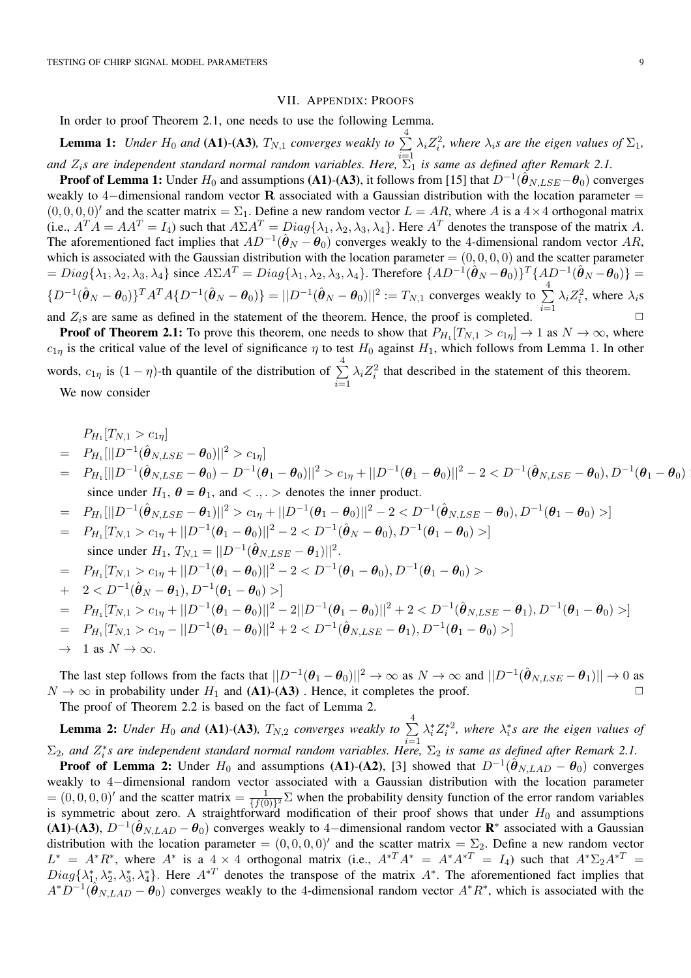#### VII. APPENDIX: PROOFS

In order to proof Theorem 2.1, one needs to use the following Lemma.

**Lemma 1:** Under  $H_0$  and (A1)-(A3),  $T_{N,1}$  converges weakly to  $\sum^4 \lambda_i Z_i^2$ , where  $\lambda_i$ s are the eigen values of  $\Sigma_1$ , and  $Z_i$ *s are independent standard normal random variables. Here,*  $\sum_{1}^{i=1}$  *is same as defined after Remark 2.1.* 

**Proof of Lemma 1:** Under  $H_0$  and assumptions (A1)-(A3), it follows from [15] that  $D^{-1}(\hat{\theta}_{N, LSE} - \theta_0)$  converges weakly to 4-dimensional random vector  $\bf{R}$  associated with a Gaussian distribution with the location parameter =  $(0, 0, 0, 0)'$  and the scatter matrix =  $\Sigma_1$ . Define a new random vector  $L = AR$ , where *A* is a  $4 \times 4$  orthogonal matrix (i.e.,  $A^T A = AA^T = I_4$ ) such that  $A\Sigma A^T = Diag{\lambda_1, \lambda_2, \lambda_3, \lambda_4}$ . Here  $A^T$  denotes the transpose of the matrix A. The aforementioned fact implies that  $AD^{-1}(\hat{\theta}_N - \theta_0)$  converges weakly to the 4-dimensional random vector AR, which is associated with the Gaussian distribution with the location parameter  $= (0, 0, 0, 0)$  and the scatter parameter  $= Diag\{\lambda_1, \lambda_2, \lambda_3, \lambda_4\}$  since  $A\Sigma A^T = Diag\{\lambda_1, \lambda_2, \lambda_3, \lambda_4\}$ . Therefore  $\{AD^{-1}(\hat{\theta}_N - \theta_0)\}^T \{AD^{-1}(\hat{\theta}_N - \theta_0)\}$  $\{D^{-1}(\hat{\theta}_N - \theta_0)\}^T A^T A \{D^{-1}(\hat{\theta}_N - \theta_0)\} = ||D^{-1}(\hat{\theta}_N - \theta_0)||^2 := T_{N,1}$  converges weakly to  $\sum_{i=1}^4$ *i*=1  $\lambda_i Z_i^2$ , where  $\lambda_i$ s and  $Z_i$ s are same as defined in the statement of the theorem. Hence, the proof is completed.  $\Box$ 

**Proof of Theorem 2.1:** To prove this theorem, one needs to show that  $P_{H_1}[T_{N,1} > c_{1\eta}] \rightarrow 1$  as  $N \rightarrow \infty$ , where  $c_{1n}$  is the critical value of the level of significance  $\eta$  to test  $H_0$  against  $H_1$ , which follows from Lemma 1. In other words,  $c_{1\eta}$  is  $(1 - \eta)$ -th quantile of the distribution of  $\sum_{n=1}^{4}$ *i*=1  $\lambda_i Z_i^2$  that described in the statement of this theorem.

We now consider

*PH*<sup>1</sup> [*TN,*<sup>1</sup> *> c*1⌘]

$$
F_{H_1}[I_{N,1} > c_{1\eta}]
$$
\n
$$
= P_{H_1}[||D^{-1}(\hat{\theta}_{N,LSE} - \theta_0)||^2 > c_{1\eta}]
$$
\n
$$
= P_{H_1}[||D^{-1}(\hat{\theta}_{N,LSE} - \theta_0) - D^{-1}(\theta_1 - \theta_0)||^2 > c_{1\eta} + ||D^{-1}(\theta_1 - \theta_0)||^2 - 2 < D^{-1}(\hat{\theta}_{N,LSE} - \theta_0), D^{-1}(\theta_1 - \theta_0)
$$
\nsince under  $H_1$ ,  $\theta = \theta_1$ , and  $\langle \cdot, \cdot \rangle$  denotes the inner product.  
\n
$$
= P_{H_1}[||D^{-1}(\hat{\theta}_{N,LSE} - \theta_1)||^2 > c_{1\eta} + ||D^{-1}(\theta_1 - \theta_0)||^2 - 2 < D^{-1}(\hat{\theta}_{N,LSE} - \theta_0), D^{-1}(\theta_1 - \theta_0) >]
$$
\n
$$
= P_{H_1}[T_{N,1} > c_{1\eta} + ||D^{-1}(\theta_1 - \theta_0)||^2 - 2 < D^{-1}(\hat{\theta}_N - \theta_0), D^{-1}(\theta_1 - \theta_0) >]
$$
\nsince under  $H_1$ ,  $T_{N,1} = ||D^{-1}(\hat{\theta}_{N,LSE} - \theta_1)||^2$ .  
\n
$$
= P_{H_1}[T_{N,1} > c_{1\eta} + ||D^{-1}(\theta_1 - \theta_0)||^2 - 2 < D^{-1}(\theta_1 - \theta_0), D^{-1}(\theta_1 - \theta_0) >
$$
\n
$$
+ 2 < D^{-1}(\hat{\theta}_N - \theta_1), D^{-1}(\theta_1 - \theta_0) >]
$$
\n
$$
= P_{H_1}[T_{N,1} > c_{1\eta} + ||D^{-1}(\theta_1 - \theta_0)||^2 - 2||D^{-1}(\theta_1 - \theta_0)||^2 + 2 < D^{-1}(\hat{\theta}_{N,LSE} - \theta_1), D^{-1}(\theta_1 - \theta_0) >]
$$
\n
$$
= P_{H_1}[T_{N,1} > c_{1\eta} - ||D^{-1}(\theta_1 - \theta_0)||^2 + 2 < D^{-1}(\hat{\theta}_{N,LSE} - \theta_
$$

The last step follows from the facts that  $||D^{-1}(\theta_1 - \theta_0)||^2 \to \infty$  as  $N \to \infty$  and  $||D^{-1}(\hat{\theta}_{N, LSE} - \theta_1)|| \to 0$  as  $N \rightarrow \infty$  in probability under *H*<sub>1</sub> and (A1)-(A3). Hence, it completes the proof.

The proof of Theorem 2.2 is based on the fact of Lemma 2.

**Lemma 2:** Under  $H_0$  and (A1)-(A3),  $T_{N,2}$  converges weakly to  $\sum^4$ *i*=1  $\lambda_i^* Z_i^{*2}$ , where  $\lambda_i^* s$  are the eigen values of  $\Sigma_2$ , and  $Z_i^*$ s are independent standard normal random variables. Here,  $\Sigma_2$  is same as defined after Remark 2.1.

**Proof of Lemma 2:** Under  $H_0$  and assumptions (A1)-(A2), [3] showed that  $D^{-1}(\hat{\theta}_{N,LAD} - \theta_0)$  converges weakly to 4-dimensional random vector associated with a Gaussian distribution with the location parameter  $=(0,0,0,0)'$  and the scatter matrix  $=\frac{1}{f(0)}^2\Sigma$  when the probability density function of the error random variables is symmetric about zero. A straightforward modification of their proof shows that under  $H_0$  and assumptions (A1)-(A3),  $D^{-1}(\hat{\theta}_{N,LAD} - \theta_0)$  converges weakly to 4-dimensional random vector  $\mathbb{R}^*$  associated with a Gaussian distribution with the location parameter =  $(0, 0, 0, 0)'$  and the scatter matrix =  $\Sigma_2$ . Define a new random vector  $L^* = A^*R^*$ , where  $A^*$  is a  $\frac{4}{4} \times 4$  orthogonal matrix (i.e.,  $A^{*T}A^* = A^*A^{*T} = I_4$ ) such that  $A^*\Sigma_2A^{*T} = I_4$  $Diag\{\lambda_1^*,\lambda_2^*,\lambda_3^*,\lambda_4^*\}$ . Here  $A^{*T}$  denotes the transpose of the matrix  $A^*$ . The aforementioned fact implies that  $A^*D^{-1}(\hat{\theta}_{N,LAD} - \theta_0)$  converges weakly to the 4-dimensional random vector  $A^*R^*$ , which is associated with the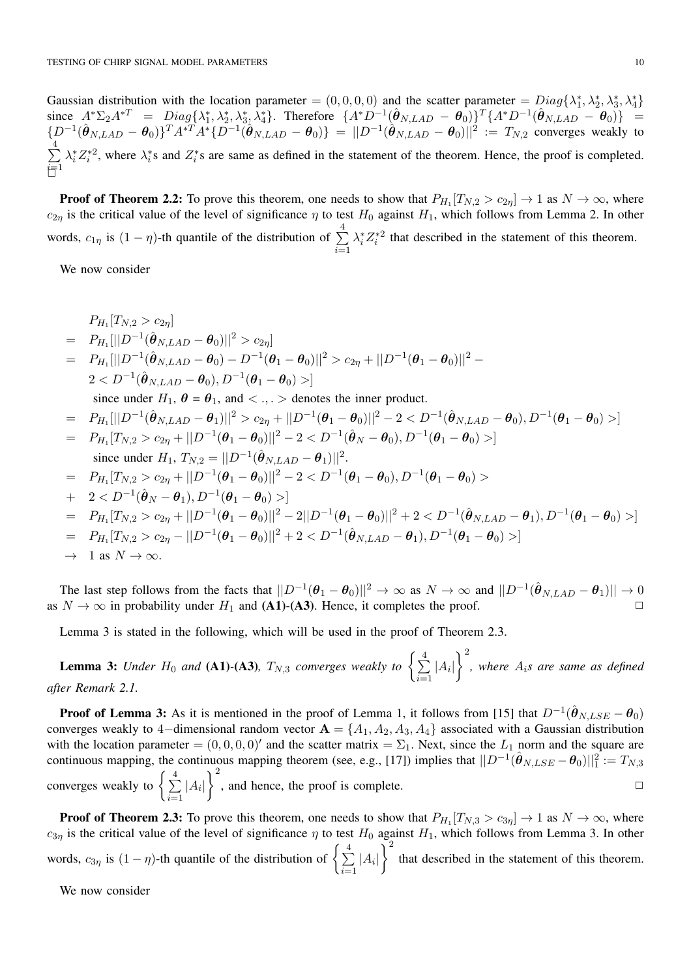Gaussian distribution with the location parameter =  $(0, 0, 0, 0)$  and the scatter parameter =  $Diag\{\lambda_1^*, \lambda_2^*, \lambda_3^*, \lambda_4^*\}$ since  $A^*\Sigma_2A^{*T} = Diag\{\lambda_1^*, \lambda_2^*, \lambda_3^*, \lambda_4^*\}$ . Therefore  $\{A^*D^{-1}(\hat{\theta}_{N,LAD} - \theta_0)\}^T\{A^*D^{-1}(\hat{\theta}_{N,LAD} - \theta_0)\} =$  $\{D^{-1}(\hat{\theta}_{N,LAD} - \theta_0)\}^T A^{*T} A^* \{D^{-1}(\hat{\theta}_{N,LAD} - \theta_0)\} = ||D^{-1}(\hat{\theta}_{N,LAD} - \theta_0)||^2 := T_{N,2}$  converges weakly to  $\frac{4}{5}$ *i*=1  $\lambda_i^* Z_i^{*2}$ , where  $\lambda_i^*$ s and  $Z_i^*$ s are same as defined in the statement of the theorem. Hence, the proof is completed. **行** 

**Proof of Theorem 2.2:** To prove this theorem, one needs to show that  $P_{H_1}[T_{N,2} > c_{2\eta}] \rightarrow 1$  as  $N \rightarrow \infty$ , where  $c_{2\eta}$  is the critical value of the level of significance  $\eta$  to test  $H_0$  against  $H_1$ , which follows from Lemma 2. In other words,  $c_{1\eta}$  is  $(1 - \eta)$ -th quantile of the distribution of  $\sum_{n=1}^{4}$ *i*=1  $\lambda_i^* Z_i^{*2}$  that described in the statement of this theorem.

We now consider

$$
P_{H_1}[T_{N,2} > c_{2\eta}]
$$
  
\n
$$
= P_{H_1}[||D^{-1}(\hat{\theta}_{N,LAD} - \theta_0)||^2 > c_{2\eta}]
$$
  
\n
$$
= P_{H_1}[||D^{-1}(\hat{\theta}_{N,LAD} - \theta_0) - D^{-1}(\theta_1 - \theta_0)||^2 > c_{2\eta} + ||D^{-1}(\theta_1 - \theta_0)||^2 -
$$
  
\n
$$
2 < D^{-1}(\hat{\theta}_{N,LAD} - \theta_0), D^{-1}(\theta_1 - \theta_0) >]
$$
  
\nsince under  $H_1$ ,  $\theta = \theta_1$ , and  $< . . .$  denotes the inner product.  
\n
$$
= P_{H_1}[||D^{-1}(\hat{\theta}_{N,LAD} - \theta_1)||^2 > c_{2\eta} + ||D^{-1}(\theta_1 - \theta_0)||^2 - 2 < D^{-1}(\hat{\theta}_{N,LAD} - \theta_0), D^{-1}(\theta_1 - \theta_0) >]
$$
  
\n
$$
= P_{H_1}[T_{N,2} > c_{2\eta} + ||D^{-1}(\theta_1 - \theta_0)||^2 - 2 < D^{-1}(\hat{\theta}_N - \theta_0), D^{-1}(\theta_1 - \theta_0) >]
$$
  
\nsince under  $H_1$ ,  $T_{N,2} = ||D^{-1}(\hat{\theta}_{N,LAD} - \theta_1)||^2$ .  
\n
$$
= P_{H_1}[T_{N,2} > c_{2\eta} + ||D^{-1}(\theta_1 - \theta_0)||^2 - 2 < D^{-1}(\theta_1 - \theta_0), D^{-1}(\theta_1 - \theta_0) >
$$
  
\n
$$
+ 2 < D^{-1}(\hat{\theta}_N - \theta_1), D^{-1}(\theta_1 - \theta_0) >]
$$
  
\n
$$
= P_{H_1}[T_{N,2} > c_{2\eta} + ||D^{-1}(\theta_1 - \theta_0)||^2 - 2||D^{-1}(\theta_1 - \theta_0)||^2 + 2 < D^{-1}(\hat{\theta}_{N,LAD} - \theta_1), D^{-1}(\theta_1 - \theta_0) >]
$$
  
\n
$$
= P_{H_1}[T_{N,2} > c_{2\eta} - ||D^{-1}(\theta_1 - \theta_0
$$

$$
\to 1 \text{ as } N \to \infty.
$$

The last step follows from the facts that  $||D^{-1}(\theta_1 - \theta_0)||^2 \to \infty$  as  $N \to \infty$  and  $||D^{-1}(\hat{\theta}_{N,LAD} - \theta_1)|| \to 0$ as  $N \to \infty$  in probability under  $H_1$  and (A1)-(A3). Hence, it completes the proof.

Lemma 3 is stated in the following, which will be used in the proof of Theorem 2.3.

**Lemma 3:** Under  $H_0$  and (A1)-(A3),  $T_{N,3}$  converges weakly to  $\left\{ \frac{4}{2} \right\}$  $\sum_{i=1}$  |A<sub>*i*</sub>|  $\lambda^2$ *, where Ais are same as defined after Remark 2.1.*

**Proof of Lemma 3:** As it is mentioned in the proof of Lemma 1, it follows from [15] that  $D^{-1}(\hat{\theta}_{N, LSE} - \theta_0)$ converges weakly to 4-dimensional random vector  $A = \{A_1, A_2, A_3, A_4\}$  associated with a Gaussian distribution with the location parameter  $=(0,0,0,0)'$  and the scatter matrix  $=\Sigma_1$ . Next, since the  $L_1$  norm and the square are continuous mapping, the continuous mapping theorem (see, e.g., [17]) implies that  $||D^{-1}(\hat{\theta}_{N, LSE} - \theta_0)||_1^2 := T_{N,3}$ converges weakly to  $\left\{\frac{4}{\sum_{i=1}^{N}}\right\}$  $\sum_{i=1}$  |A<sub>*i*</sub>|  $\left.\right.^{2}$ , and hence, the proof is complete.  $\Box$ 

**Proof of Theorem 2.3:** To prove this theorem, one needs to show that  $P_{H_1}[T_{N,3} > c_{3\eta}] \rightarrow 1$  as  $N \rightarrow \infty$ , where  $c_{3\eta}$  is the critical value of the level of significance  $\eta$  to test  $H_0$  against  $H_1$ , which follows from Lemma 3. In other words,  $c_{3\eta}$  is  $(1 - \eta)$ -th quantile of the distribution of  $\left\{\sum_{i=1}^{4}$  $\sum_{i=1}$  |A<sub>*i*</sub>|  $\overline{)}^2$ that described in the statement of this theorem.

We now consider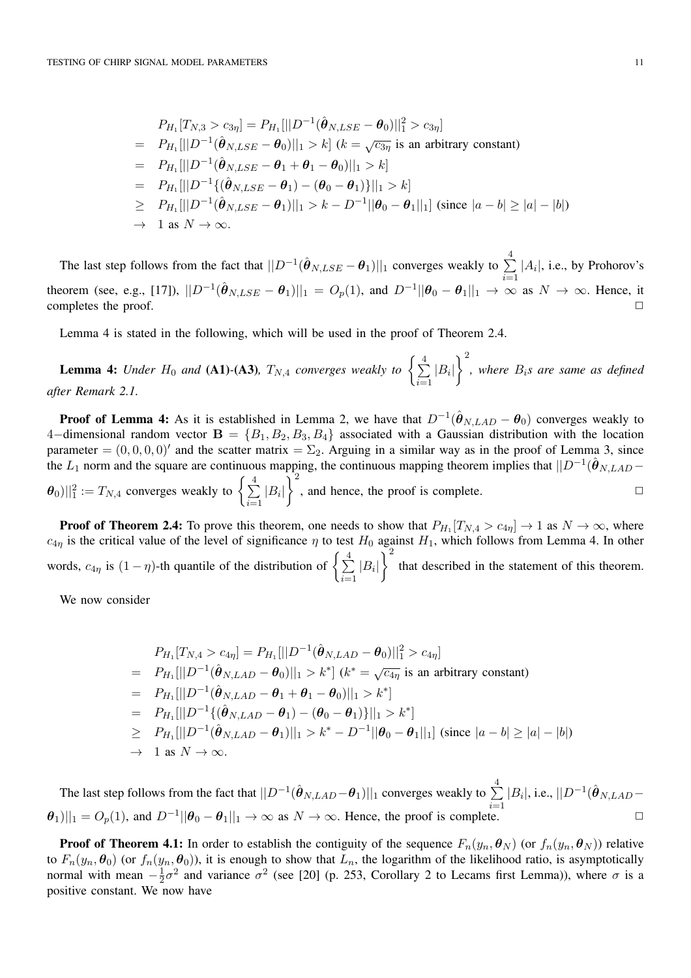$$
P_{H_1}[T_{N,3} > c_{3\eta}] = P_{H_1}[||D^{-1}(\hat{\theta}_{N,LSE} - \theta_0)||_1^2 > c_{3\eta}]
$$
  
=  $P_{H_1}[||D^{-1}(\hat{\theta}_{N,LSE} - \theta_0)||_1 > k] \ (k = \sqrt{c_{3\eta}} \text{ is an arbitrary constant})$   
=  $P_{H_1}[||D^{-1}(\hat{\theta}_{N,LSE} - \theta_1 + \theta_1 - \theta_0)||_1 > k]$   
=  $P_{H_1}[||D^{-1}\{(\hat{\theta}_{N,LSE} - \theta_1) - (\theta_0 - \theta_1)\}||_1 > k]$   
 $\geq P_{H_1}[||D^{-1}(\hat{\theta}_{N,LSE} - \theta_1)||_1 > k - D^{-1}||\theta_0 - \theta_1||_1] \text{ (since } |a - b| \geq |a| - |b|)$   
 $\rightarrow 1 \text{ as } N \rightarrow \infty.$ 

The last step follows from the fact that  $||D^{-1}(\hat{\theta}_{N, LSE} - \theta_1)||_1$  converges weakly to  $\sum_{i=1}^{4} |A_i|$ , i.e., by Prohorov's  $\alpha$  theorem (see, e.g., [17]),  $||D^{-1}(\hat{\theta}_{N, LSE} - \theta_1)||_1 = O_p(1)$ , and  $D^{-1}||\theta_0 - \theta_1||_1 \to \infty$  as  $N \to \infty$ . Hence, it completes the proof.

Lemma 4 is stated in the following, which will be used in the proof of Theorem 2.4.

**Lemma 4:** Under  $H_0$  and (A1)-(A3),  $T_{N,4}$  converges weakly to  $\left\{ \frac{4}{2} \right\}$  $\sum_{i=1}$  |B<sub>*i*</sub>|  $\left.\right.^{2}$ *, where Bis are same as defined after Remark 2.1.*

**Proof of Lemma 4:** As it is established in Lemma 2, we have that  $D^{-1}(\hat{\theta}_{N,LAD} - \theta_0)$  converges weakly to 4-dimensional random vector  $\mathbf{B} = \{B_1, B_2, B_3, B_4\}$  associated with a Gaussian distribution with the location parameter =  $(0, 0, 0, 0)'$  and the scatter matrix =  $\Sigma_2$ . Arguing in a similar way as in the proof of Lemma 3, since the *L*<sub>1</sub> norm and the square are continuous mapping, the continuous mapping theorem implies that  $||D^{-1}(\hat{\theta}_{N,LAD} \|\boldsymbol{\theta}_0\|_1^2 := T_{N,4}$  converges weakly to  $\left\{\sum_{i=1}^4\right\}$  $\sum_{i=1}$   $|B_i|$  $\tilde{\lambda}^2$ , and hence, the proof is complete.  $\Box$ 

**Proof of Theorem 2.4:** To prove this theorem, one needs to show that  $P_{H_1}[T_{N,4} > c_{4\eta}] \to 1$  as  $N \to \infty$ , where  $c_{4\eta}$  is the critical value of the level of significance  $\eta$  to test  $H_0$  against  $H_1$ , which follows from Lemma 4. In other words,  $c_{4\eta}$  is  $(1 - \eta)$ -th quantile of the distribution of  $\left\{\sum_{i=1}^{4}$  $\sum_{i=1}$  |B<sub>*i*</sub>|  $\overline{)}^2$ that described in the statement of this theorem.

We now consider

$$
P_{H_1}[T_{N,4} > c_{4\eta}] = P_{H_1}[||D^{-1}(\hat{\theta}_{N,LAD} - \theta_0)||_1^2 > c_{4\eta}]
$$
  
=  $P_{H_1}[||D^{-1}(\hat{\theta}_{N,LAD} - \theta_0)||_1 > k^*]$   $(k^* = \sqrt{c_{4\eta}}$  is an arbitrary constant)  
=  $P_{H_1}[||D^{-1}(\hat{\theta}_{N,LAD} - \theta_1 + \theta_1 - \theta_0)||_1 > k^*]$   
=  $P_{H_1}[||D^{-1}\{(\hat{\theta}_{N,LAD} - \theta_1) - (\theta_0 - \theta_1)\}||_1 > k^*]$   
 $\geq P_{H_1}[||D^{-1}(\hat{\theta}_{N,LAD} - \theta_1)||_1 > k^* - D^{-1}||\theta_0 - \theta_1||_1]$  (since  $|a - b| \geq |a| - |b|$ )  
 $\rightarrow$  1 as  $N \rightarrow \infty$ .

The last step follows from the fact that  $||D^{-1}(\hat{\theta}_{N,LAD}-\theta_1)||_1$  converges weakly to  $\sum_{n=1}^{4} |B_i|$ , i.e.,  $||D^{-1}(\hat{\theta}_{N,LAD}-\theta_1)||_1$  $\|\theta_1\|\|_1 = O_p(1)$ , and  $D^{-1}||\theta_0 - \theta_1||_1 \to \infty$  as  $N \to \infty$ . Hence, the proof is complete.

**Proof of Theorem 4.1:** In order to establish the contiguity of the sequence  $F_n(y_n, \theta_N)$  (or  $f_n(y_n, \theta_N)$ ) relative to  $F_n(y_n, \theta_0)$  (or  $f_n(y_n, \theta_0)$ ), it is enough to show that  $L_n$ , the logarithm of the likelihood ratio, is asymptotically normal with mean  $-\frac{1}{2}\sigma^2$  and variance  $\sigma^2$  (see [20] (p. 253, Corollary 2 to Lecams first Lemma)), where  $\sigma$  is a positive constant. We now have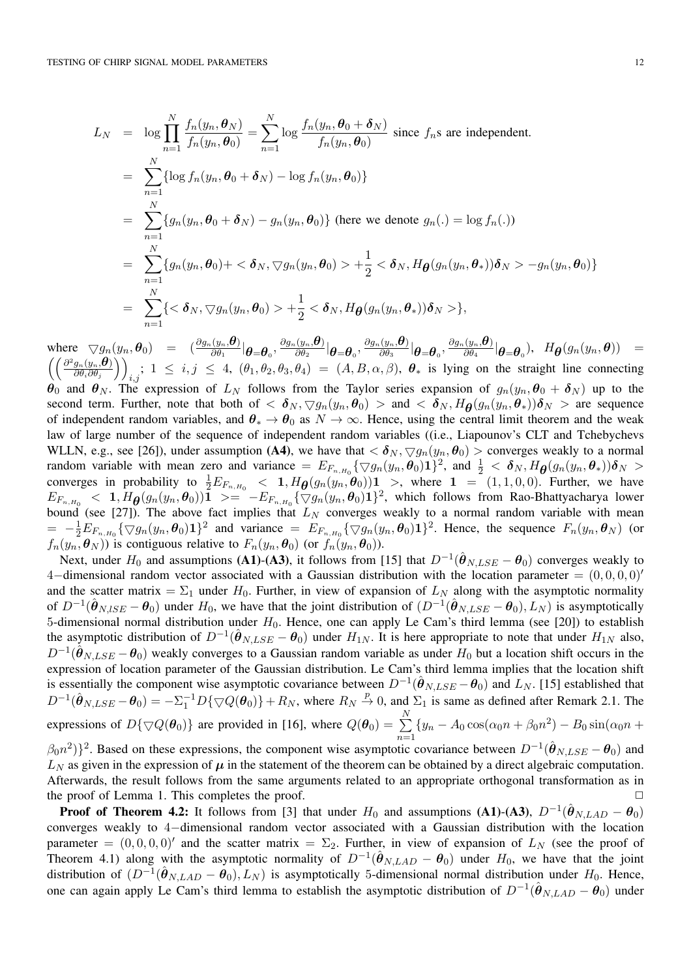$$
L_N = \log \prod_{n=1}^N \frac{f_n(y_n, \theta_N)}{f_n(y_n, \theta_0)} = \sum_{n=1}^N \log \frac{f_n(y_n, \theta_0 + \delta_N)}{f_n(y_n, \theta_0)} \text{ since } f_n \text{s are independent.}
$$
  
\n
$$
= \sum_{n=1}^N \{ \log f_n(y_n, \theta_0 + \delta_N) - \log f_n(y_n, \theta_0) \}
$$
  
\n
$$
= \sum_{n=1}^N \{ g_n(y_n, \theta_0 + \delta_N) - g_n(y_n, \theta_0) \} \text{ (here we denote } g_n(.) = \log f_n(.)
$$
  
\n
$$
= \sum_{n=1}^N \{ g_n(y_n, \theta_0) + \langle \delta_N, \nabla g_n(y_n, \theta_0) \rangle + \frac{1}{2} \langle \delta_N, H_\theta(g_n(y_n, \theta_*)) \delta_N \rangle - g_n(y_n, \theta_0) \}
$$
  
\n
$$
= \sum_{n=1}^N \{ \langle \delta_N, \nabla g_n(y_n, \theta_0) \rangle + \frac{1}{2} \langle \delta_N, H_\theta(g_n(y_n, \theta_*)) \delta_N \rangle \},
$$

where  $\bigtriangledown g_n(y_n,\boldsymbol{\theta}_0)$  =  $(\frac{\partial g_n(y_n,\boldsymbol{\theta})}{\partial \theta_1}|\boldsymbol{\theta}=\boldsymbol{\theta}_0, \frac{\partial g_n(y_n,\boldsymbol{\theta})}{\partial \theta_2}|\boldsymbol{\theta}=\boldsymbol{\theta}_0, \frac{\partial g_n(y_n,\boldsymbol{\theta})}{\partial \theta_3}|\boldsymbol{\theta}=\boldsymbol{\theta}_0, \frac{\partial g_n(y_n,\boldsymbol{\theta})}{\partial \theta_4}|\boldsymbol{\theta}=\boldsymbol{\theta}_0), \ \ H_{\boldsymbol{\theta}}(g_n(y_n,\boldsymbol{\theta}))$  =  $\int (\frac{\partial^2 g_n(y_n,\boldsymbol{\theta})}{\partial y_n(y_n,\boldsymbol{\theta})})$  $\partial\theta_i\partial\theta_j$  $\setminus$  $i,j$ ;  $1 \leq i,j \leq 4$ ,  $(\theta_1, \theta_2, \theta_3, \theta_4) = (A, B, \alpha, \beta)$ ,  $\theta_*$  is lying on the straight line connecting  $\theta_0$  and  $\theta_N$ . The expression of  $L_N$  follows from the Taylor series expansion of  $g_n(y_n, \theta_0 + \delta_N)$  up to the second term. Further, note that both of  $\langle \delta_N, \nabla g_n(y_n, \theta_0) \rangle$  and  $\langle \delta_N, H_{\theta}(g_n(y_n, \theta_*) ) \delta_N \rangle$  are sequence of independent random variables, and  $\theta_* \to \theta_0$  as  $N \to \infty$ . Hence, using the central limit theorem and the weak law of large number of the sequence of independent random variables ((i.e., Liapounov's CLT and Tchebychevs WLLN, e.g., see [26]), under assumption (A4), we have that  $\langle \delta_N, \nabla g_n(y_n, \theta_0) \rangle$  converges weakly to a normal random variable with mean zero and variance  $=E_{F_{n,H_0}}\{\bigtriangledown g_n(y_n,\theta_0)\mathbf{1}\}^2$ , and  $\frac{1}{2}<\delta_N$ ,  $H_{\theta}(g_n(y_n,\theta_*)\delta_N>$ converges in probability to  $\frac{1}{2}E_{F_{n,H_0}} < 1$ ,  $H_{\theta}(g_n(y_n, \theta_0))$  >, where  $1 = (1, 1, 0, 0)$ . Further, we have  $E_{F_{n,H_0}} < 1, H_{\theta}(g_n(y_n, \theta_0))$  $\overline{1} > = -E_{F_{n,H_0}}\{\nabla g_n(y_n, \theta_0)1\}^2$ , which follows from Rao-Bhattyacharya lower bound (see [27]). The above fact implies that *L<sup>N</sup>* converges weakly to a normal random variable with mean  $= -\frac{1}{2}E_{F_{n,H_0}}\{\bigtriangledown g_n(y_n,\theta_0)1\}^2$  and variance  $= E_{F_{n,H_0}}\{\bigtriangledown g_n(y_n,\theta_0)1\}^2$ . Hence, the sequence  $F_n(y_n,\theta_N)$  (or  $f_n(y_n, \theta_N)$  is contiguous relative to  $F_n(y_n, \theta_0)$  (or  $f_n(y_n, \theta_0)$ ).

Next, under  $H_0$  and assumptions (A1)-(A3), it follows from [15] that  $D^{-1}(\hat{\theta}_{N, LSE} - \theta_0)$  converges weakly to 4-dimensional random vector associated with a Gaussian distribution with the location parameter =  $(0,0,0,0)'$ and the scatter matrix  $=\Sigma_1$  under  $H_0$ . Further, in view of expansion of  $L_N$  along with the asymptotic normality of  $D^{-1}(\hat{\theta}_{N,ISE} - \theta_0)$  under  $H_0$ , we have that the joint distribution of  $(D^{-1}(\hat{\theta}_{N,LSE} - \theta_0), L_N)$  is asymptotically 5-dimensional normal distribution under *H*<sub>0</sub>. Hence, one can apply Le Cam's third lemma (see [20]) to establish the asymptotic distribution of  $D^{-1}(\hat{\theta}_{N, LSE} - \theta_0)$  under  $H_{1N}$ . It is here appropriate to note that under  $H_{1N}$  also,  $D^{-1}(\hat{\theta}_{N, LSE} - \theta_0)$  weakly converges to a Gaussian random variable as under  $H_0$  but a location shift occurs in the expression of location parameter of the Gaussian distribution. Le Cam's third lemma implies that the location shift is essentially the component wise asymptotic covariance between  $D^{-1}(\hat{\theta}_{N, LSE} - \theta_0)$  and  $L_N$ . [15] established that  $D^{-1}(\hat{\theta}_{N, LSE} - \theta_0) = -\Sigma_1^{-1}D\{\nabla Q(\theta_0)\} + R_N$ , where  $R_N \stackrel{p}{\to} 0$ , and  $\Sigma_1$  is same as defined after Remark 2.1. The expressions of  $D\{\nabla Q(\theta_0)\}\$  are provided in [16], where  $Q(\theta_0) = \sum_{i=1}^{N}$  $\sum_{n=1}$  {*y<sub>n</sub>* - *A*<sub>0</sub> cos( $\alpha_0 n + \beta_0 n^2$ ) - *B*<sub>0</sub> sin( $\alpha_0 n +$  $(\beta_0 n^2)$ <sup>2</sup>. Based on these expressions, the component wise asymptotic covariance between  $D^{-1}(\hat{\theta}_{N, LSE} - \theta_0)$  and  $L_N$  as given in the expression of  $\mu$  in the statement of the theorem can be obtained by a direct algebraic computation. Afterwards, the result follows from the same arguments related to an appropriate orthogonal transformation as in

the proof of Lemma 1. This completes the proof.  $\Box$ **Proof of Theorem 4.2:** It follows from [3] that under  $H_0$  and assumptions (A1)-(A3),  $D^{-1}(\hat{\theta}_{N,LAD} - \theta_0)$ converges weakly to 4-dimensional random vector associated with a Gaussian distribution with the location parameter =  $(0, 0, 0, 0)'$  and the scatter matrix =  $\Sigma_2$ . Further, in view of expansion of  $L_N$  (see the proof of Theorem 4.1) along with the asymptotic normality of  $D^{-1}(\hat{\theta}_{N,LAD} - \theta_0)$  under  $H_0$ , we have that the joint distribution of  $(D^{-1}(\hat{\theta}_{N,LAD} - \theta_0), L_N)$  is asymptotically 5-dimensional normal distribution under  $H_0$ . Hence, one can again apply Le Cam's third lemma to establish the asymptotic distribution of  $D^{-1}(\hat{\theta}_{N,LAD} - \theta_0)$  under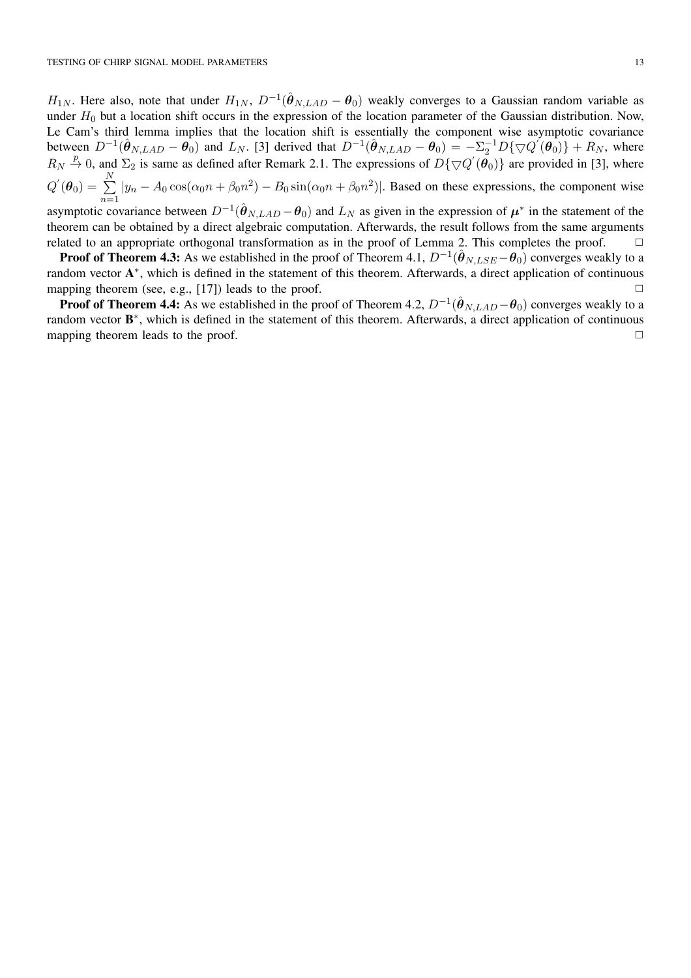*H*<sub>1*N*</sub>. Here also, note that under  $H_{1N}$ ,  $D^{-1}(\hat{\theta}_{N,LAD} - \theta_0)$  weakly converges to a Gaussian random variable as under  $H_0$  but a location shift occurs in the expression of the location parameter of the Gaussian distribution. Now, Le Cam's third lemma implies that the location shift is essentially the component wise asymptotic covariance between  $D^{-1}(\hat{\theta}_{N,LAD} - \theta_0)$  and  $L_N$ . [3] derived that  $D^{-1}(\hat{\theta}_{N,LAD} - \theta_0) = -\sum_{i=1}^{n} D\{\nabla Q'(\theta_0)\} + R_N$ , where  $R_N \stackrel{p}{\rightarrow} 0$ , and  $\Sigma_2$  is same as defined after Remark 2.1. The expressions of  $D\{\nabla Q'(\theta_0)\}$  are provided in [3], where  $Q^{'}(\boldsymbol{\theta}_0) = \sum^{N}$  $\sum_{n=1} |y_n - A_0 \cos(\alpha_0 n + \beta_0 n^2) - B_0 \sin(\alpha_0 n + \beta_0 n^2)|$ . Based on these expressions, the component wise

asymptotic covariance between  $D^{-1}(\hat{\theta}_{N,LAD} - \theta_0)$  and  $L_N$  as given in the expression of  $\mu^*$  in the statement of the theorem can be obtained by a direct algebraic computation. Afterwards, the result follows from the same arguments related to an appropriate orthogonal transformation as in the proof of Lemma 2. This completes the proof.  $\square$ 

**Proof of Theorem 4.3:** As we established in the proof of Theorem 4.1,  $D^{-1}(\hat{\theta}_{N, LSE} - \theta_0)$  converges weakly to a random vector  $A^*$ , which is defined in the statement of this theorem. Afterwards, a direct application of continuous mapping theorem (see, e.g., [17]) leads to the proof.  $\square$ 

**Proof of Theorem 4.4:** As we established in the proof of Theorem 4.2,  $D^{-1}(\hat{\theta}_{NLAD} - \theta_0)$  converges weakly to a random vector  $B^*$ , which is defined in the statement of this theorem. Afterwards, a direct application of continuous mapping theorem leads to the proof.  $\square$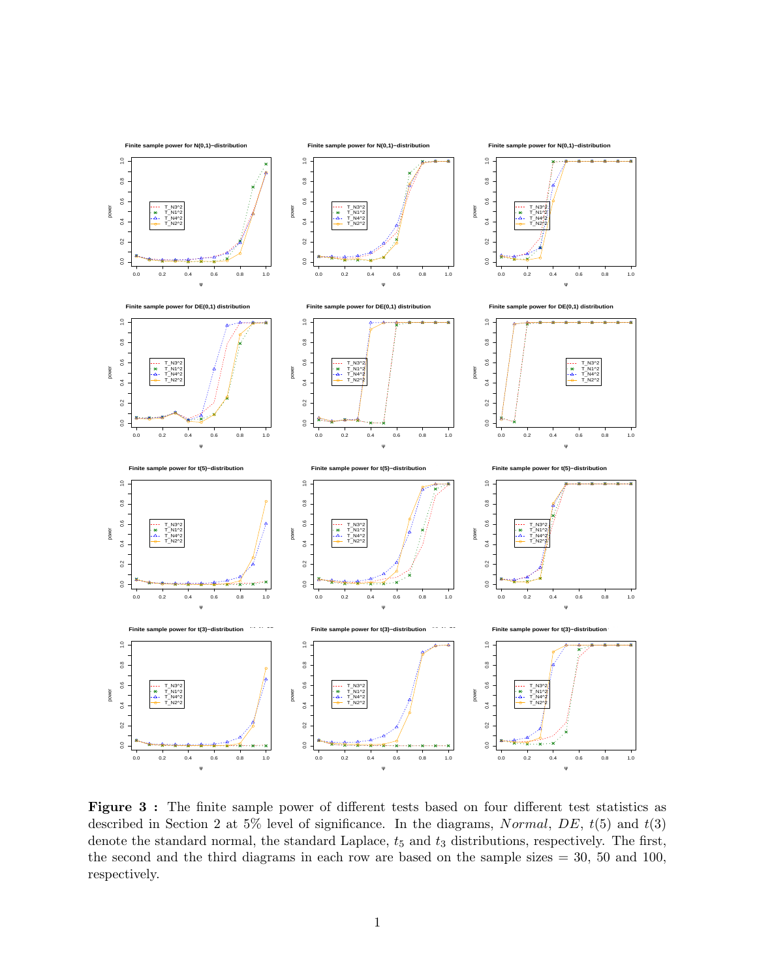

Figure 3 : The finite sample power of different tests based on four different test statistics as described in Section 2 at 5% level of significance. In the diagrams, Normal, DE,  $t(5)$  and  $t(3)$ denote the standard normal, the standard Laplace,  $t_5$  and  $t_3$  distributions, respectively. The first, the second and the third diagrams in each row are based on the sample sizes  $= 30, 50, 100,$ respectively.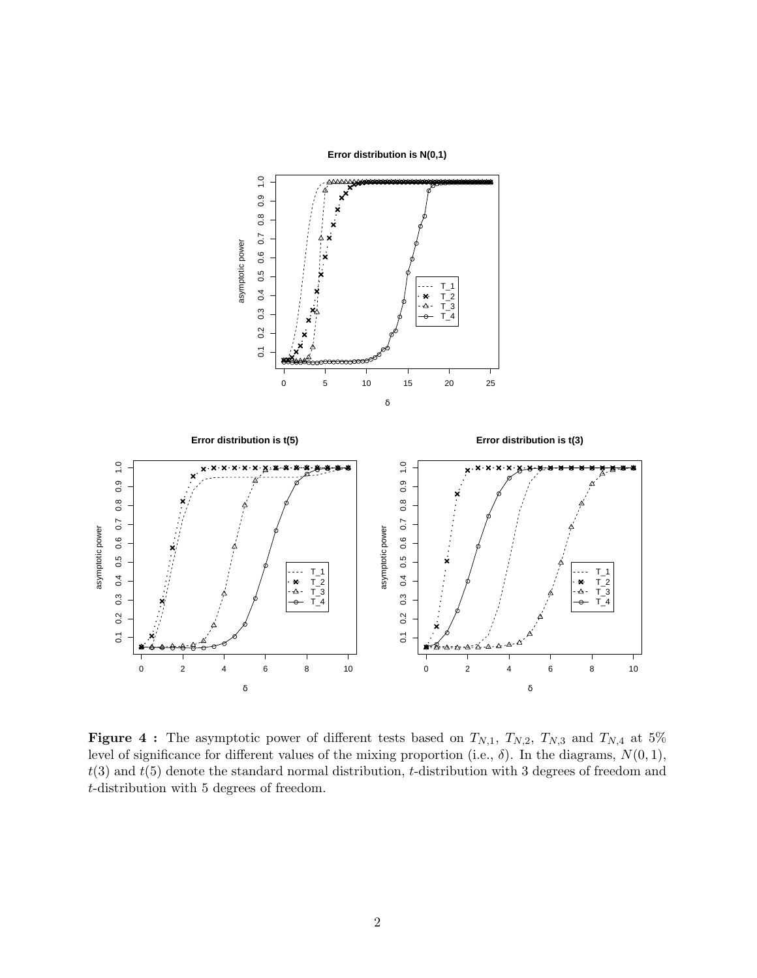**Error distribution is N(0,1)**



**Figure 4 :** The asymptotic power of different tests based on  $T_{N,1}$ ,  $T_{N,2}$ ,  $T_{N,3}$  and  $T_{N,4}$  at 5% level of significance for different values of the mixing proportion (i.e.,  $\delta$ ). In the diagrams,  $N(0, 1)$ ,  $t(3)$  and  $t(5)$  denote the standard normal distribution, t-distribution with 3 degrees of freedom and t-distribution with 5 degrees of freedom.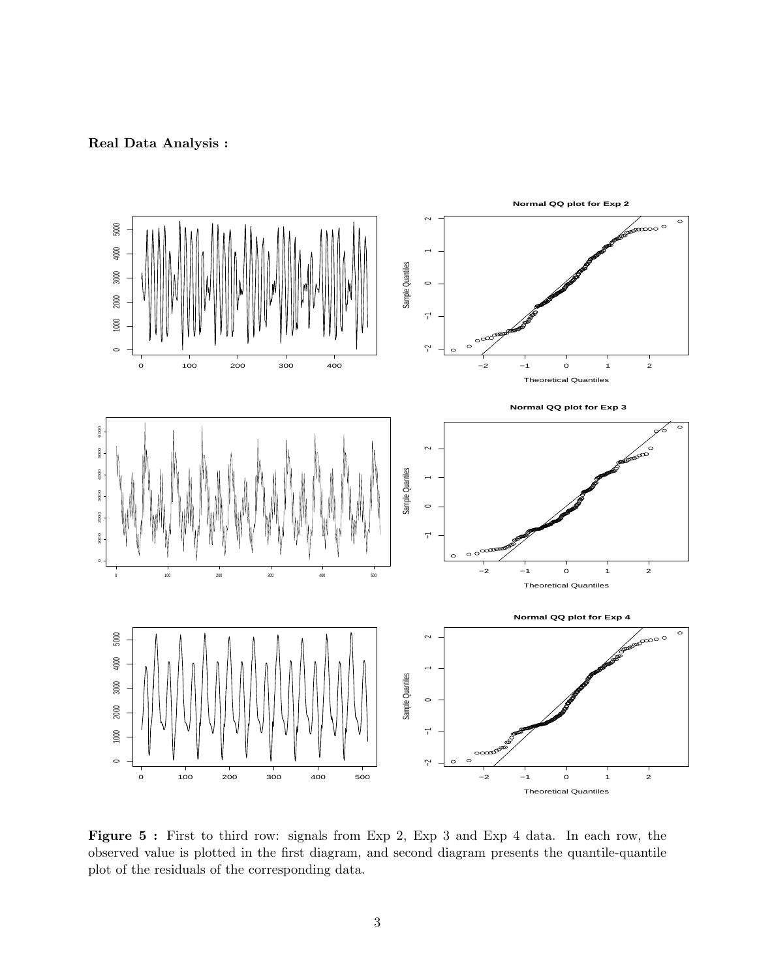Real Data Analysis :



Figure 5: First to third row: signals from Exp 2, Exp 3 and Exp 4 data. In each row, the observed value is plotted in the first diagram, and second diagram presents the quantile-quantile plot of the residuals of the corresponding data.